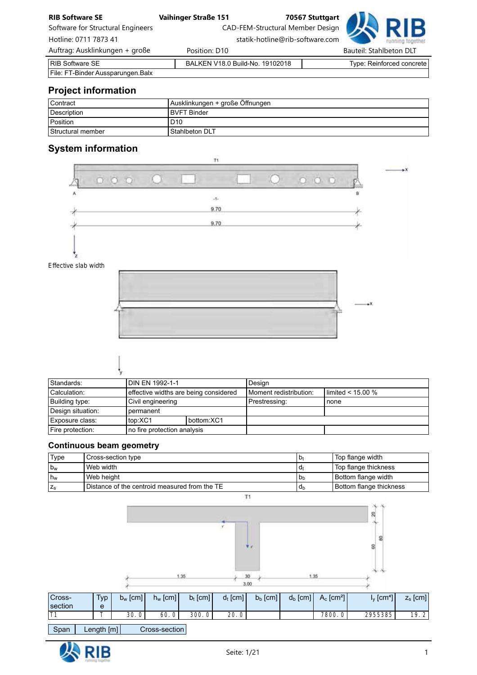| <b>RIB Software SE</b>            | <b>Vaihinger Straße 151</b>     |                                  | 70567 Stuttgart |                         |                                  |
|-----------------------------------|---------------------------------|----------------------------------|-----------------|-------------------------|----------------------------------|
| Software for Structural Engineers |                                 | CAD-FEM-Structural Member Design |                 |                         | $\neg$ D L                       |
| Hotline: 0711 7873 41             |                                 | statik-hotline@rib-software.com  |                 |                         |                                  |
| Auftrag: Ausklinkungen + große    | Position: D10                   |                                  |                 | Bauteil: Stahlbeton DLT |                                  |
| RIB Software SE                   | BALKEN V18.0 Build-No. 19102018 |                                  |                 |                         | <b>Type: Reinforced concrete</b> |
| File: FT-Binder Aussparungen.Balx |                                 |                                  |                 |                         |                                  |

# Project information

| l Contract        | Ausklinkungen + große Öffnungen |
|-------------------|---------------------------------|
| Description       | <b>BVFT Binder</b>              |
| Position          | D <sub>10</sub>                 |
| Structural member | Stahlbeton DLT                  |

# System information



| Standards:        | DIN EN 1992-1-1             |                                       | Design                 |                            |
|-------------------|-----------------------------|---------------------------------------|------------------------|----------------------------|
| Calculation:      |                             | effective widths are being considered | Moment redistribution: | $\text{limited}$ < 15.00 % |
| Building type:    | Civil engineering           |                                       | Prestressing:          | none                       |
| Design situation: | permanent                   |                                       |                        |                            |
| Exposure class:   | top:XC1                     | bottom:XC1                            |                        |                            |
| Fire protection:  | no fire protection analysis |                                       |                        |                            |

# Continuous beam geometry

| Type           | Cross-section type                            | b <sub>t</sub> | Top flange width            |
|----------------|-----------------------------------------------|----------------|-----------------------------|
| $b_w$          | Web width                                     | d,             | <b>Top flange thickness</b> |
| h <sub>w</sub> | Web height                                    | b <sub>b</sub> | Bottom flange width         |
|                | Distance of the centroid measured from the TE | d <sub>b</sub> | Bottom flange thickness     |



Span Length [m] Cross-section

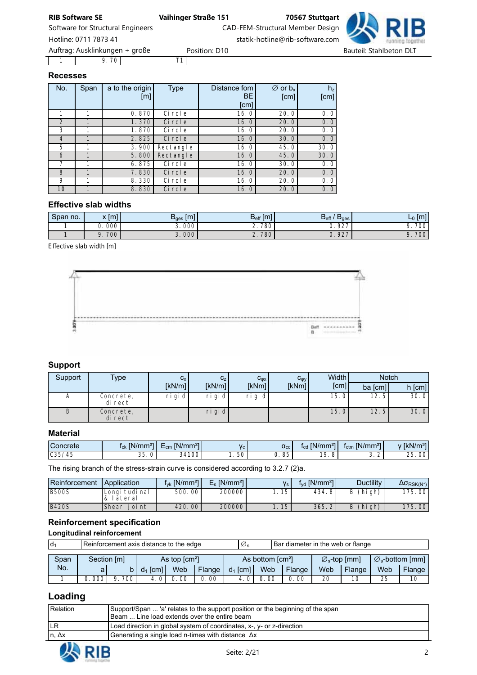1 | 9.70 T1 Auftrag: Ausklinkungen + große eine Position: D10 Bauteil: Stahlbeton DLT

# Recesses

| No.            | Span | a to the origin<br>[m] | <b>Type</b> | Distance fom<br>BE.<br>[cm] | $\varnothing$ or $b_x$<br>[cm] | $h_z$<br>[cm] |
|----------------|------|------------------------|-------------|-----------------------------|--------------------------------|---------------|
|                | 1    | 0.870                  | Ci rcl e    | 16.0                        | 20.0                           | 0.0           |
| $\mathfrak{D}$ |      | 1.370                  | Ci rcl e    | 16.0                        | 20.0                           | 0.0           |
| 3              |      | 1.870                  | Ci rcl e    | 16.0                        | 20.0                           | 0.0           |
| $\overline{4}$ |      | 2.825                  | Ci rcl e    | 16.0                        | 30.0                           | 0.0           |
| 5              |      | 3.900                  | Rectangle   | 16.0                        | 45.0                           | 30.0          |
| 6              |      | 5.800                  | Rectangle   | 16.0                        | 45.0                           | 30.0          |
|                |      | 6.875                  | Ci rcl e    | 16.0                        | 30.0                           | 0.0           |
| 8              |      | 7.830                  | Ci rcl e    | 16.0                        | 20.0                           | 0.0           |
| 9              |      | 8.330                  | Ci rcl e    | 16.0                        | 20.0                           | 0.0           |
| 10             |      | 8.830                  | Ci rcl e    | 16.0                        | 20.0                           | 0.0           |

# Effective slab widths

| Span no. | v Im<br>,,,,,<br>$\mathbf{v}$ | $B_{\text{qes}}$ [m] | D<br><b>Iml</b><br>$D_{\text{eff}}$ | $D_{\text{eff}}$<br>$D_{\text{ges}}$ | I۳<br>ுட<br>. |
|----------|-------------------------------|----------------------|-------------------------------------|--------------------------------------|---------------|
|          | 000                           | 000                  | 780<br><u>.</u>                     | 027<br><br>້                         | 700           |
|          | 700<br>$\Omega$               | 3.000                | 780<br>z.                           | 027<br>$\sqrt{2}$<br>ັ.              | 700           |

*Effective slab width [m]*



# Support

| Support | Type                 | $C_X$     | C <sub>z</sub> | $C_{\phi X}$ | $C_{\phi y}$ | Width             | <b>Notch</b>      |          |
|---------|----------------------|-----------|----------------|--------------|--------------|-------------------|-------------------|----------|
|         |                      | [kN/m]    | [kN/m]         | [kNm]        | [kNm]        | [cm]              | ba [cm]           | $h$ [cm] |
| А       | Concrete,<br>di rect | $ri$ gi d | ri gi d        | ri gi d      |              | 15.0 <sub>1</sub> | 12.5 <sub>1</sub> | 30.0     |
| В       | Concrete,<br>di rect |           | $ri$ gi d      |              |              | 15.01             | 12.5              | 30.0     |

### Material

| Concrete    | 27<br>IN/<br>'mm <sub>1</sub><br><b>ICK</b>     | 22<br>IN/mm <sup>2</sup><br>-<br>∟cm | $V_c$ . | $\alpha_{\rm cc}$ | $[N/mm^2]$<br>27<br>$_{\rm{1cd}}$ | IN/mm <sup>2</sup><br>$\sim$<br>∎ctm | $\sqrt{kN/m^{31}}$           |
|-------------|-------------------------------------------------|--------------------------------------|---------|-------------------|-----------------------------------|--------------------------------------|------------------------------|
| C35/<br>/45 | $\Omega$<br>$\overline{\phantom{0}}$<br>ບບ<br>ັ | 34100                                | 50      | QF<br>ບບ<br>J.    | 10<br>o                           | $\sim$<br>ູ<br><u>.</u>              | $\sim$ $\sim$<br>00<br>، ب ک |

The rising branch of the stress-strain curve is considered according to 3.2.7 (2)a.

| Reinforcement | Application              | $f_{\text{vk}}$ [N/mm <sup>2</sup> ] | $E_s$ [N/mm <sup>2</sup> ] |             | $f_{\text{yd}}$ [N/mm <sup>2</sup> ] | <b>Ductility</b> | $\Delta \sigma_{RSK(N^*)}$ |
|---------------|--------------------------|--------------------------------------|----------------------------|-------------|--------------------------------------|------------------|----------------------------|
| <b>B500S</b>  | Longi tudi nal<br>ateral | 500, 00                              | 200000                     | 15<br>ل ا . | 434.8'                               | (hi gh)<br>B     | 175.00                     |
| <b>B420S</b>  | Shear<br>oi nt           | 420, 00                              | 200000                     | .15         | 365.2                                | (hi gh)<br>B     | 175,00                     |

# Reinforcement specification

Longitudinal reinforcement

| l d <sub>1</sub> | Reinforcement axis distance to the edge |                                                                     |            |      |        | Ø,         |                                 | Bar diameter in the web or flange |                                    |        |     |        |
|------------------|-----------------------------------------|---------------------------------------------------------------------|------------|------|--------|------------|---------------------------------|-----------------------------------|------------------------------------|--------|-----|--------|
| Span             |                                         | Section [m]<br>As top $\text{cm}^2$<br>As bottom [cm <sup>2</sup> ] |            |      |        |            | $\varnothing_{\rm s}$ -top [mm] |                                   | $\varnothing_{\rm s}$ -bottom [mm] |        |     |        |
| No.              | a                                       |                                                                     | $d_1$ [cm] | Web  | Flange | $d_1$ [cm] | Web                             | Flange                            | Web                                | Flange | Web | Flange |
|                  | 0. 000                                  | 700 i<br>Ο                                                          | $\Omega$   | 0.00 | 00     |            | 0. 00                           | 00                                | 20                                 | 10     | 25  | 10     |

# Loading

| Relation | Support/Span  'a' relates to the support position or the beginning of the span<br>Beam  Line load extends over the entire beam |
|----------|--------------------------------------------------------------------------------------------------------------------------------|
| ILR      | Load direction in global system of coordinates, x-, y- or z-direction                                                          |
| ∣ n, Δx  | Generating a single load n-times with distance $\Delta x$                                                                      |
|          |                                                                                                                                |

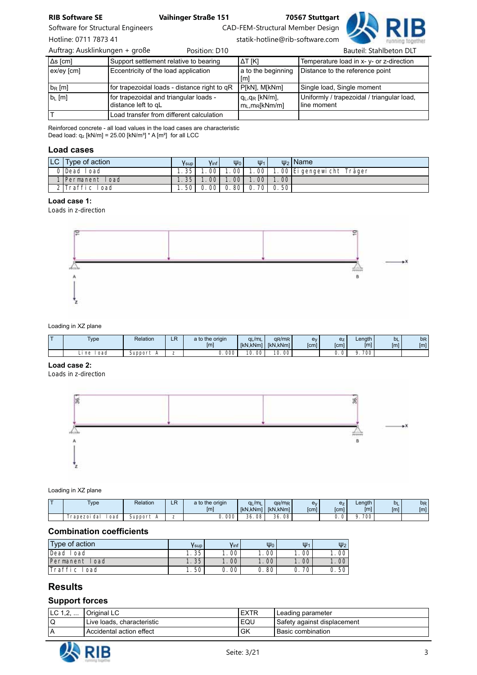Software for Structural Engineers CAD-FEM-Structural Member Design

Hotline: 0711 7873 41 statik-hotline@rib-software.com

Δs [cm] Support settlement relative to bearing ΔT [K] Temperature load in x- y- or z-direction ex/ey [cm] Eccentricity of the load application a to the beginning [m] Distance to the reference point b<sub>R</sub> [m] for trapezoidal loads - distance right to qR P[kN], M[kNm] Single load, Single moment b<sub>L</sub> [m] **for trapezoidal and triangular loads** distance left to qL qL,qR [kN/m],  $m_L, m_R[kNm/m]$ Uniformly / trapezoidal / triangular load, line moment T Load transfer from different calculation Auftrag: Ausklinkungen + große eine Position: D10 aussissienen Bauteil: Stahlbeton DLT

Reinforced concrete - all load values in the load cases are characteristic Dead load:  $q_z$  [kN/m] = 25.00 [kN/m<sup>3</sup>]  $*$  A [m<sup>2</sup>] for all LCC

### Load cases

| $ LC $ Type of action | <b>V</b> sup | Vinf I           | $\Psi_0$ | $\Psi_1$            |       | $\psi_2$   Name           |
|-----------------------|--------------|------------------|----------|---------------------|-------|---------------------------|
| OlDead Load           | . . 35 I     | 001              | .001     | 1.00                |       | 1.00 Ei gengewicht Träger |
| 1 Permanent Load      | 1.351        | .00 <sub>l</sub> | 100      | 1.00                | 1.001 |                           |
| 2 Traffic Load        | 1.50 L       |                  |          | 0.00 0.80 0.70 0.50 |       |                           |

# Load case 1:

*Loads in z-direction*



### Loading in XZ plane

| - | <b>Type</b> | Relation | LR | a to the origin<br>[ <sub>m</sub> ] | $q_L/m_L$ | $q_R/m_R$<br>[kN.kNm]   [kN.kNm] | ev<br>[cm] | e <sub>Z</sub><br>[cm] | Length<br>[m]    | <b>b</b> L<br>[m] | b <sub>R</sub><br>[m] |
|---|-------------|----------|----|-------------------------------------|-----------|----------------------------------|------------|------------------------|------------------|-------------------|-----------------------|
|   | oad<br>ne   | support  | -  | J.000 <sup>1</sup>                  | 00<br>10. | 00<br>10<br>ιv.                  |            |                        | 700 <sub>1</sub> |                   |                       |

## Load case 2:

*Loads in z-direction*



### Loading in XZ plane

| - | $TV$ pe<br>$\cdot$    | Relation            | ∟⊓ | a to the origin<br>[m] | /m <sub>l</sub><br><b>IkN.kNml</b> | $qR/mR$ .<br>I   [kN.kNm] | e٧<br>[cm] | e <sub>Z</sub><br>[cm] | Length<br>$\mathsf{[m]}$ | <b>bL</b><br>[m] | b <sub>R</sub><br>[m] |
|---|-----------------------|---------------------|----|------------------------|------------------------------------|---------------------------|------------|------------------------|--------------------------|------------------|-----------------------|
|   | ' oad<br>Frapezoi dal | suppor <sup>+</sup> | -  | 000                    | 36.<br>08                          | $\sim$<br>08<br>36.       |            | $\sim$<br><br>ັ        | 700                      |                  |                       |

### Combination coefficients

| Type of action    | Ysup              | Vinf, | $\Psi_0$ | $\Psi_1$            | $\Psi_2$ |
|-------------------|-------------------|-------|----------|---------------------|----------|
| Dead<br>l oad     | $\therefore 35^+$ | 00    | 00       | i . 00 <sup>'</sup> | 00       |
| Load<br>Permanent | 1.35              | 00    | 00       | 1.00                | 00       |
| Traffi c<br>oad   | l. 50             | 00    | 80       | 70                  | 50       |

# Results

## Support forces

| ◡<br>. | วriginal LC                 | <b>EXTR</b> | l Leading parameter          |
|--------|-----------------------------|-------------|------------------------------|
|        | 'Live loads, characteristic | EQU         | ⊦Safety against displacement |
|        | Accidental action effect    | GK          | l Basic combination          |

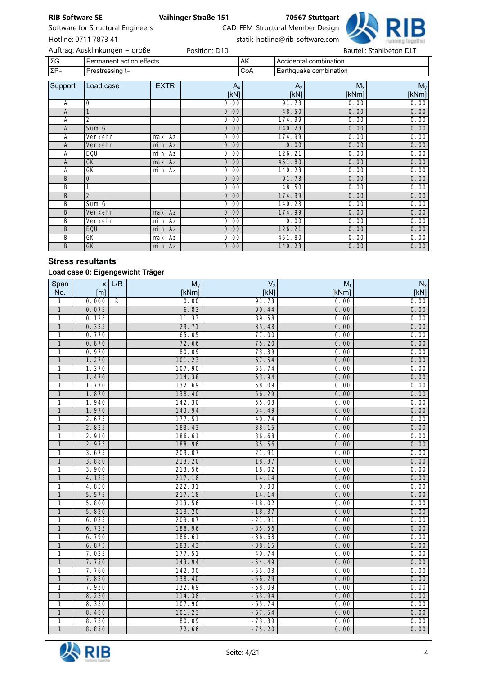

Software for Structural Engineers CAD-FEM-Structural Member Design

Hotline: 0711 7873 41 statik-hotline@rib-software.com

|                     | Auftrag: Ausklinkungen + große |             | Position: D10   |     |                 |                        | Bauteil: Stahlbeton DLT |  |
|---------------------|--------------------------------|-------------|-----------------|-----|-----------------|------------------------|-------------------------|--|
| ΣG                  | Permanent action effects       |             |                 | AK  |                 | Accidental combination |                         |  |
| $\Sigma P_{\infty}$ | Prestressing t <sub>®</sub>    |             |                 | CoA |                 | Earthquake combination |                         |  |
| Support             | Load case                      | <b>EXTR</b> | $A_{x}$<br>[kN] |     | $A_{z}$<br>[kN] | $M_{x}$<br>[kNm]       | $M_{y}$<br>[kNm]        |  |
| A                   | 0                              |             | 0.00            |     | 91.73           | 0.00                   | 0.00                    |  |
| A                   |                                |             | 0.00            |     | 48.50           | 0.00                   | 0.00                    |  |
| Α                   | $\overline{2}$                 |             | 0.00            |     | 174.99          | 0.00                   | 0.00                    |  |
| A                   | Sum G                          |             | 0.00            |     | 140.23          | 0.00                   | 0.00                    |  |
| А                   | Verkehr                        | max Az      | 0.00            |     | 174.99          | 0.00                   | 0.00                    |  |
| A                   | Verkehr                        | min Az      | 0.00            |     | 0.00            | 0.00                   | 0.00                    |  |
| А                   | EQU                            | min Az      | 0.00            |     | 126.21          | 0.00                   | 0.00                    |  |
| A                   | GK                             | max Az      | 0.00            |     | 451.80          | 0.00                   | 0.00                    |  |
| Α                   | GK                             | min Az      | 0.00            |     | 140.23          | 0.00                   | 0.00                    |  |
| B                   | 0                              |             | 0.00            |     | 91.73           | 0.00                   | 0.00                    |  |
| B                   |                                |             | 0.00            |     | 48.50           | 0.00                   | 0.00                    |  |
| B                   | $\overline{2}$                 |             | 0.00            |     | 174.99          | 0.00                   | 0.00                    |  |
| B                   | Sum G                          |             | 0.00            |     | 140.23          | 0.00                   | 0.00                    |  |
| B                   | Verkehr                        | $max$ Az    | 0.00            |     | 174.99          | 0.00                   | 0.00                    |  |
| B                   | Verkehr                        | min Az      | 0.00            |     | 0.00            | 0.00                   | 0.00                    |  |
| B                   | EQU                            | min Az      | 0.00            |     | 126.21          | 0.00                   | 0.00                    |  |
| B                   | GK                             | max Az      | 0.00            |     | 451.80          | 0.00                   | 0.00                    |  |
| B                   | GK                             | min Az      | 0.00            |     | 140.23          | 0.00                   | 0.00                    |  |

# Stress resultants

## Load case 0: Eigengewicht Träger

| Span           | x     | L/R          | $M_{y}$ | $V_{z}$  | M <sub>t</sub> | $N_{\rm x}$ |
|----------------|-------|--------------|---------|----------|----------------|-------------|
| No.            | [m]   |              | [kNm]   | [KN]     | [kNm]          | [KN]        |
| 1              | 0.000 | $\mathsf{R}$ | 0.00    | 91.73    | 0.00           | 0.00        |
| $\mathbf{1}$   | 0.075 |              | 6.83    | 90.44    | 0.00           | 0.00        |
| 1              | 0.125 |              | 11.33   | 89.58    | 0.00           | 0.00        |
| 1              | 0.335 |              | 29.71   | 85.48    | 0.00           | 0.00        |
| 1              | 0.770 |              | 65.05   | 77.00    | 0.00           | 0.00        |
| $\mathbf{1}$   | 0.870 |              | 72.66   | 75.20    | 0.00           | 0.00        |
| 1              | 0.970 |              | 80.09   | 73.39    | 0.00           | 0.00        |
| $\mathbf{1}$   | 1.270 |              | 101.23  | 67.54    | 0.00           | 0.00        |
| 1              | 1.370 |              | 107.90  | 65.74    | 0.00           | 0.00        |
| $\overline{1}$ | 1.470 |              | 114.38  | 63.94    | 0.00           | 0.00        |
| 1              | 1.770 |              | 132.69  | 58.09    | 0.00           | 0.00        |
| 1              | 1.870 |              | 138.40  | 56.29    | 0.00           | 0.00        |
| 1              | 1.940 |              | 142.30  | 55.03    | 0.00           | 0.00        |
| $\overline{1}$ | 1.970 |              | 143.94  | 54.49    | 0.00           | 0.00        |
| 1              | 2.675 |              | 177.51  | 40.74    | 0.00           | 0.00        |
| 1              | 2.825 |              | 183.43  | 38.15    | 0.00           | 0.00        |
| 1              | 2.910 |              | 186.61  | 36.68    | 0.00           | 0.00        |
| $\mathbf{1}$   | 2.975 |              | 188.96  | 35.56    | 0.00           | 0.00        |
| $\overline{1}$ | 3.675 |              | 209.07  | 21.91    | 0.00           | 0.00        |
| $\mathbf{1}$   | 3.880 |              | 213.20  | 18.37    | 0.00           | 0.00        |
| 1              | 3.900 |              | 213.56  | 18.02    | 0.00           | 0.00        |
| $\mathbf{1}$   | 4.125 |              | 217.18  | 14.14    | 0.00           | 0.00        |
| $\mathbf{1}$   | 4.850 |              | 222.31  | 0.00     | 0.00           | 0.00        |
| $\mathbf{1}$   | 5.575 |              | 217.18  | $-14.14$ | 0.00           | 0.00        |
| 1              | 5.800 |              | 213.56  | $-18.02$ | 0.00           | 0.00        |
| 1              | 5.820 |              | 213.20  | $-18.37$ | 0.00           | 0.00        |
| 1              | 6.025 |              | 209.07  | $-21.91$ | 0.00           | 0.00        |
| $\mathbf{1}$   | 6.725 |              | 188.96  | $-35.56$ | 0.00           | 0.00        |
| 1              | 6.790 |              | 186.61  | $-36.68$ | 0.00           | 0.00        |
| 1              | 6.875 |              | 183.43  | $-38.15$ | 0.00           | 0.00        |
| 1              | 7.025 |              | 177.51  | $-40.74$ | 0.00           | 0.00        |
| $\mathbf{1}$   | 7.730 |              | 143.94  | $-54.49$ | 0.00           | 0.00        |
| 1              | 7.760 |              | 142.30  | $-55.03$ | 0.00           | 0.00        |
| $\mathbf{1}$   | 7.830 |              | 138.40  | $-56.29$ | 0.00           | 0.00        |
| 1              | 7.930 |              | 132.69  | $-58.09$ | 0.00           | 0.00        |
| $\mathbf{1}$   | 8.230 |              | 114.38  | $-63.94$ | 0.00           | 0.00        |
| 1              | 8.330 |              | 107.90  | $-65.74$ | 0.00           | 0.00        |
| 1              | 8.430 |              | 101.23  | $-67.54$ | 0.00           | 0.00        |
| 1              | 8.730 |              | 80.09   | $-73.39$ | 0.00           | 0.00        |
| 1              | 8.830 |              | 72.66   | $-75.20$ | 0.00           | 0.00        |

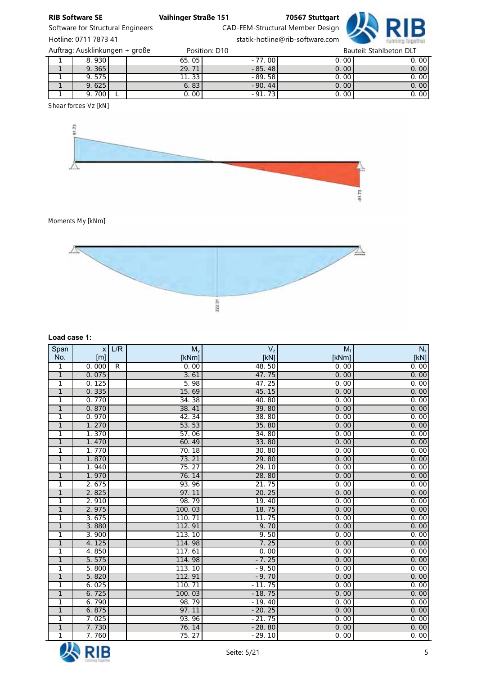

Software for Structural Engineers CAD-FEM-Structural Member Design

Hotline: 0711 7873 41 statik-hotline@rib-software.com

| Auftrag: Ausklinkungen + große |       |  |                    | Position: D10 | Bauteil: Stahlbeton DLT |      |  |
|--------------------------------|-------|--|--------------------|---------------|-------------------------|------|--|
|                                | 8.930 |  | 65.05              | $-77.00$      | 0.00                    | 0.00 |  |
|                                | 9.365 |  | 29.71              | $-85.48$      | 0.001                   | 0.00 |  |
|                                | 9.575 |  | 11.33 <sub>1</sub> | $-89.58$      | 0.00                    | 0.00 |  |
|                                | 9.625 |  | 6.83               | $-90.44$      | 0.001                   | 0.00 |  |
|                                | 9.700 |  | 0. OO l            | $-91.73$      | 0.00                    | 0.00 |  |

*Shear forces Vz [kN]*



*Moments My [kNm]*



# Load case 1:

| Span           | $\mathsf{x}$ | L/R            | $M_{y}$ | $\mathsf{V}_\mathsf{z}$ | $M_t$ | $N_{\rm x}$ |
|----------------|--------------|----------------|---------|-------------------------|-------|-------------|
| No.            | [m]          |                | [kNm]   | [KN]                    | [kNm] | [KN]        |
| $\mathbf{1}$   | 0.000        | $\overline{R}$ | 0.00    | 48.50                   | 0.00  | 0.00        |
| $\overline{1}$ | 0.075        |                | 3.61    | 47.75                   | 0.00  | 0.00        |
| $\mathbf{1}$   | 0.125        |                | 5.98    | 47.25                   | 0.00  | 0.00        |
| $\overline{1}$ | 0.335        |                | 15.69   | 45.15                   | 0.00  | 0.00        |
| $\mathbf{1}$   | 0.770        |                | 34.38   | 40.80                   | 0.00  | 0.00        |
| $\overline{1}$ | 0.870        |                | 38.41   | 39.80                   | 0.00  | 0.00        |
| 1              | 0.970        |                | 42.34   | 38.80                   | 0.00  | 0.00        |
| $\mathbf{1}$   | 1.270        |                | 53.53   | 35.80                   | 0.00  | 0.00        |
| $\overline{1}$ | 1.370        |                | 57.06   | 34.80                   | 0.00  | 0.00        |
| $\overline{1}$ | 1.470        |                | 60.49   | 33.80                   | 0.00  | 0.00        |
| $\overline{1}$ | 1.770        |                | 70.18   | 30.80                   | 0.00  | 0.00        |
| $\mathbf{1}$   | 1.870        |                | 73.21   | 29.80                   | 0.00  | 0.00        |
| $\mathbf{1}$   | 1.940        |                | 75.27   | 29.10                   | 0.00  | 0.00        |
| $\mathbf{1}$   | 1.970        |                | 76.14   | 28.80                   | 0.00  | 0.00        |
| $\overline{1}$ | 2.675        |                | 93.96   | 21.75                   | 0.00  | 0.00        |
| $\overline{1}$ | 2.825        |                | 97.11   | 20.25                   | 0.00  | 0.00        |
| 1              | 2.910        |                | 98.79   | 19.40                   | 0.00  | 0.00        |
| $\overline{1}$ | 2.975        |                | 100.03  | 18.75                   | 0.00  | 0.00        |
| $\mathbf{1}$   | 3.675        |                | 110.71  | 11.75                   | 0.00  | 0.00        |
| $\overline{1}$ | 3.880        |                | 112.91  | 9.70                    | 0.00  | 0.00        |
| $\mathbf{1}$   | 3.900        |                | 113.10  | 9.50                    | 0.00  | 0.00        |
| $\mathbf{1}$   | 4.125        |                | 114.98  | 7.25                    | 0.00  | 0.00        |
| $\overline{1}$ | 4.850        |                | 117.61  | 0.00                    | 0.00  | 0.00        |
| $\overline{1}$ | 5.575        |                | 114.98  | $-7.25$                 | 0.00  | 0.00        |
| $\mathbf{1}$   | 5.800        |                | 113.10  | $-9.50$                 | 0.00  | 0.00        |
| $\mathbf{1}$   | 5.820        |                | 112.91  | $-9.70$                 | 0.00  | 0.00        |
| 1              | 6.025        |                | 110.71  | $-11.75$                | 0.00  | 0.00        |
| $\mathbf{1}$   | 6.725        |                | 100.03  | $-18.75$                | 0.00  | 0.00        |
| $\mathbf{1}$   | 6.790        |                | 98.79   | $-19.40$                | 0.00  | 0.00        |
| $\overline{1}$ | 6.875        |                | 97.11   | $-20.25$                | 0.00  | 0.00        |
| $\mathbf{1}$   | 7.025        |                | 93.96   | $-21.75$                | 0.00  | 0.00        |
| $\mathbf{1}$   | 7.730        |                | 76.14   | $-28.80$                | 0.00  | 0.00        |
| $\overline{1}$ | 7.760        |                | 75.27   | $-29.10$                | 0.00  | 0.00        |

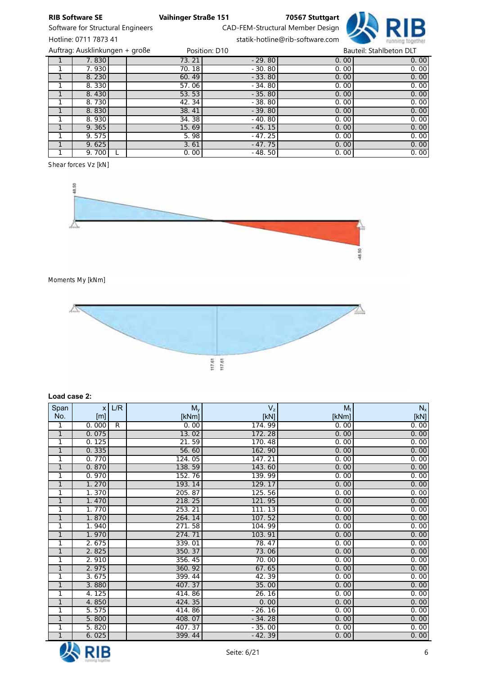

Software for Structural Engineers CAD-FEM-Structural Member Design Hotline: 0711 7873 41 statik-hotline@rib-software.com

| Auftrag: Ausklinkungen + große |       | Position: D10 | Bauteil: Stahlbeton DLT |      |  |
|--------------------------------|-------|---------------|-------------------------|------|--|
| 7.830                          | 73.21 | $-29.80$      | 0.00                    | 0.00 |  |
| 7.930                          | 70.18 | $-30.80$      | 0.00                    | 0.00 |  |
| 8.230                          | 60.49 | $-33.80$      | 0.00                    | 0.00 |  |
| 8.330                          | 57.06 | $-34.80$      | 0.00                    | 0.00 |  |
| 8.430                          | 53.53 | $-35.80$      | 0.00                    | 0.00 |  |
| 8.730                          | 42.34 | $-38.80$      | 0.00                    | 0.00 |  |
| 8.830                          | 38.41 | $-39.80$      | 0.00                    | 0.00 |  |
| 8.930                          | 34.38 | $-40.80$      | 0.00                    | 0.00 |  |
| 9.365                          | 15.69 | $-45.15$      | 0.00                    | 0.00 |  |
| 9.575                          | 5.98  | $-47.25$      | 0.00                    | 0.00 |  |
| 9.625                          | 3.61  | $-47.75$      | 0.00                    | 0.00 |  |
| 9.700                          | 0.00  | $-48.50$      | 0.00                    | 0.00 |  |

*Shear forces Vz [kN]*



*Moments My [kNm]*



### Load case 2:

| Span         | $\mathsf{x}$ | L/R            | $M_{y}$ | $\mathsf{V}_\mathsf{z}$ | $M_t$ | $N_{\rm x}$ |
|--------------|--------------|----------------|---------|-------------------------|-------|-------------|
| No.          | [m]          |                | [kNm]   | [KN]                    | [kNm] | [KN]        |
| 1            | 0.000        | $\overline{R}$ | 0.00    | 174.99                  | 0.00  | 0.00        |
| $\mathbf{1}$ | 0.075        |                | 13.02   | 172.28                  | 0.00  | 0.00        |
| 1            | 0.125        |                | 21.59   | 170.48                  | 0.00  | 0.00        |
| $\mathbf{1}$ | 0.335        |                | 56.60   | 162.90                  | 0.00  | 0.00        |
| 1            | 0.770        |                | 124.05  | 147.21                  | 0.00  | 0.00        |
| $\mathbf{1}$ | 0.870        |                | 138.59  | 143.60                  | 0.00  | 0.00        |
| 1            | 0.970        |                | 152.76  | 139.99                  | 0.00  | 0.00        |
| $\mathbf{1}$ | 1.270        |                | 193.14  | 129.17                  | 0.00  | 0.00        |
| 1            | 1.370        |                | 205.87  | 125.56                  | 0.00  | 0.00        |
| $\mathbf{1}$ | 1.470        |                | 218.25  | 121.95                  | 0.00  | 0.00        |
| 1            | 1.770        |                | 253.21  | 111.13                  | 0.00  | 0.00        |
| $\mathbf{1}$ | 1.870        |                | 264.14  | 107.52                  | 0.00  | 0.00        |
| 1            | 1.940        |                | 271.58  | 104.99                  | 0.00  | 0.00        |
| $\mathbf{1}$ | 1.970        |                | 274.71  | 103.91                  | 0.00  | 0.00        |
| 1            | 2.675        |                | 339.01  | 78.47                   | 0.00  | 0.00        |
| $\mathbf{1}$ | 2.825        |                | 350.37  | 73.06                   | 0.00  | 0.00        |
| 1            | 2.910        |                | 356.45  | 70.00                   | 0.00  | 0.00        |
| $\mathbf{1}$ | 2.975        |                | 360.92  | 67.65                   | 0.00  | 0.00        |
| 1            | 3.675        |                | 399.44  | 42.39                   | 0.00  | 0.00        |
| $\mathbf{1}$ | 3.880        |                | 407.37  | 35.00                   | 0.00  | 0.00        |
| 1            | 4.125        |                | 414.86  | 26.16                   | 0.00  | 0.00        |
| $\mathbf{1}$ | 4.850        |                | 424.35  | 0.00                    | 0.00  | 0.00        |
| 1            | 5.575        |                | 414.86  | $-26.16$                | 0.00  | 0.00        |
| $\mathbf{1}$ | 5.800        |                | 408.07  | $-34.28$                | 0.00  | 0.00        |
| 1            | 5.820        |                | 407.37  | $-35.00$                | 0.00  | 0.00        |
| $\mathbf{1}$ | 6.025        |                | 399.44  | $-42.39$                | 0.00  | 0.00        |

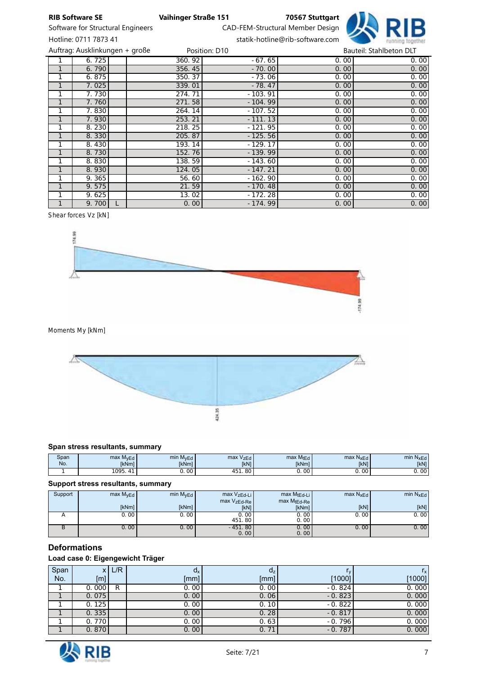



Hotline: 0711 7873 41 statik-hotline@rib-software.com

|   | Auftrag: Ausklinkungen + große |        | Position: D10 |      | Bauteil: Stahlbeton DLT |
|---|--------------------------------|--------|---------------|------|-------------------------|
|   | 6.725                          | 360.92 | $-67.65$      | 0.00 | 0.00                    |
| 1 | 6.790                          | 356.45 | $-70.00$      | 0.00 | 0.00                    |
| 1 | 6.875                          | 350.37 | $-73.06$      | 0.00 | 0.00                    |
|   | 7.025                          | 339.01 | $-78.47$      | 0.00 | 0.00                    |
|   | 7.730                          | 274.71 | $-103.91$     | 0.00 | 0.00                    |
|   | 7.760                          | 271.58 | $-104.99$     | 0.00 | 0.00                    |
|   | 7.830                          | 264.14 | $-107.52$     | 0.00 | 0.00                    |
|   | 7.930                          | 253.21 | $-111.13$     | 0.00 | 0.00                    |
| 1 | 8.230                          | 218.25 | $-121.95$     | 0.00 | 0.00                    |
|   | 8.330                          | 205.87 | $-125.56$     | 0.00 | 0.00                    |
|   | 8.430                          | 193.14 | $-129.17$     | 0.00 | 0.00                    |
|   | 8.730                          | 152.76 | $-139.99$     | 0.00 | 0.00                    |
|   | 8.830                          | 138.59 | $-143.60$     | 0.00 | 0.00                    |
|   | 8.930                          | 124.05 | $-147.21$     | 0.00 | 0.00                    |
|   | 9.365                          | 56.60  | $-162.90$     | 0.00 | 0.00                    |
|   | 9.575                          | 21.59  | $-170.48$     | 0.00 | 0.00                    |
| 1 | 9.625                          | 13.02  | $-172.28$     | 0.00 | 0.00                    |
|   | 9.700                          | 0.00   | $-174.99$     | 0.00 | 0.00                    |

*Shear forces Vz [kN]*



*Moments My [kNm]*



## Span stress resultants, summary

| Span<br>No. | <b>M<sub>vEd</sub></b><br>max<br><b>IkNml</b> | min M <sub>VEd</sub><br><b>IkNml</b> | max V <sub>zEd</sub><br><b>IkN1</b> | max M <sub>tEd</sub><br><b>IkNml</b> | max N <sub>xEd</sub><br><b>[kN]</b> | mir<br><b>ALG</b><br><b>IkN1</b> |
|-------------|-----------------------------------------------|--------------------------------------|-------------------------------------|--------------------------------------|-------------------------------------|----------------------------------|
|             | 1005<br>.                                     | $\mathbf{u}$                         | $\Omega$<br>ou                      | vv                                   | 00                                  | υ.                               |

### Support stress resultants, summary

| Support | max M <sub>vEd</sub> | min M <sub>vEd</sub> | max VzEd-Li<br>max VzEd-Re | $max M_{tEd-Li}$<br>max MtEd-Re | $max N_xE_d$ | min $N_{xEd}$ |
|---------|----------------------|----------------------|----------------------------|---------------------------------|--------------|---------------|
|         | <b>IkNml</b>         | [kNm]                | [kN]                       | [kNm]                           | [kN]         | [kN]          |
|         | 0.00                 | 0.00                 | 0.00'<br>451.80            | 0.00<br>0.00                    | 0.00         | 0.00          |
|         | 0.00                 | 0.00                 | $-451.80$<br>0.00          | 0.00<br>0.00                    | 0.00         | 0.00          |

# **Deformations**

# Load case 0: Eigengewicht Träger

| Span | χI     | L/R | $d_{x}$ | $d_z$    |          | $r_{\rm x}$ |
|------|--------|-----|---------|----------|----------|-------------|
| No.  | [m]    |     | [mm]    | [mm]     | [1000]   | [1000]      |
|      | 0.000  | R   | 0.00    | 0.00     | $-0.824$ | 0.000       |
|      | 0.075  |     | 0.00    | 0.06     | $-0.823$ | 0.000       |
|      | 0.125  |     | 0.00    | 0.10     | $-0.822$ | 0.000       |
|      | 0.335  |     | 0.00    | 0.28     | $-0.817$ | 0.000       |
|      | 0.7701 |     | 0.00    | 0.63     | $-0.796$ | 0.000       |
|      | 0.870  |     | 0.00    | 71<br>0. | $-0.787$ | 0.000       |

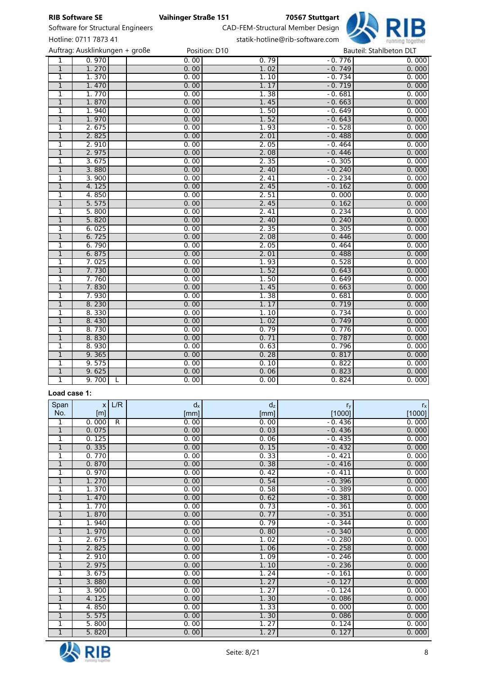

Software for Structural Engineers CAD-FEM-Structural Member Design Hotline: 0711 7873 41 statik-hotline@rib-software.com

|                | Auftrag: Ausklinkungen + große |      | Position: D10 | Bauteil: Stahlbeton DLT |       |  |  |
|----------------|--------------------------------|------|---------------|-------------------------|-------|--|--|
| $\overline{1}$ | 0.970                          | 0.00 | 0.79          | $-0.776$                | 0.000 |  |  |
| $\overline{1}$ | 1.270                          | 0.00 | 1.02          | $-0.749$                | 0.000 |  |  |
| 1              | 1.370                          | 0.00 | 1.10          | $-0.734$                | 0.000 |  |  |
| $\mathbf{1}$   | 1.470                          | 0.00 | 1.17          | $-0.719$                | 0.000 |  |  |
| $\overline{1}$ | 1.770                          | 0.00 | 1.38          | $-0.681$                | 0.000 |  |  |
| $\overline{1}$ | 1.870                          | 0.00 | 1.45          | $-0.663$                | 0.000 |  |  |
| 1              | 1.940                          | 0.00 | 1.50          | $-0.649$                | 0.000 |  |  |
| $\overline{1}$ | 1.970                          | 0.00 | 1.52          | $-0.643$                | 0.000 |  |  |
| 1              | 2.675                          | 0.00 | 1.93          | $-0.528$                | 0.000 |  |  |
| $\overline{1}$ | 2.825                          | 0.00 | 2.01          | $-0.488$                | 0.000 |  |  |
| $\overline{1}$ | 2.910                          | 0.00 | 2.05          | $-0.464$                | 0.000 |  |  |
| $\overline{1}$ | 2.975                          | 0.00 | 2.08          | $-0.446$                | 0.000 |  |  |
| 1              | 3.675                          | 0.00 | 2.35          | $-0.305$                | 0.000 |  |  |
| 1              | 3.880                          | 0.00 | 2.40          | $-0.240$                | 0.000 |  |  |
| $\overline{1}$ | 3.900                          | 0.00 | 2.41          | $-0.234$                | 0.000 |  |  |
| $\overline{1}$ | 4.125                          | 0.00 | 2.45          | $-0.162$                | 0.000 |  |  |
| $\mathbf{1}$   | 4.850                          | 0.00 | 2.51          | 0.000                   | 0.000 |  |  |
| $\mathbf{1}$   | 5.575                          | 0.00 | 2.45          | 0.162                   | 0.000 |  |  |
| $\mathbf{1}$   | 5.800                          | 0.00 | 2.41          | 0.234                   | 0.000 |  |  |
| $\mathbf{1}$   | 5.820                          | 0.00 | 2.40          | 0.240                   | 0.000 |  |  |
| 1              | 6.025                          | 0.00 | 2.35          | 0.305                   | 0.000 |  |  |
| $\mathbf{1}$   | 6.725                          | 0.00 | 2.08          | 0.446                   | 0.000 |  |  |
| 1              | 6.790                          | 0.00 | 2.05          | 0.464                   | 0.000 |  |  |
| $\overline{1}$ | 6.875                          | 0.00 | 2.01          | 0.488                   | 0.000 |  |  |
| 1              | 7.025                          | 0.00 | 1.93          | 0.528                   | 0.000 |  |  |
| $\overline{1}$ | 7.730                          | 0.00 | 1.52          | 0.643                   | 0.000 |  |  |
| 1              | 7.760                          | 0.00 | 1.50          | 0.649                   | 0.000 |  |  |
| 1              | 7.830                          | 0.00 | 1.45          | 0.663                   | 0.000 |  |  |
| 1              | 7.930                          | 0.00 | 1.38          | 0.681                   | 0.000 |  |  |
| $\mathbf{1}$   | 8.230                          | 0.00 | 1.17          | 0.719                   | 0.000 |  |  |
| $\overline{1}$ | 8.330                          | 0.00 | 1.10          | 0.734                   | 0.000 |  |  |
| $\mathbf{1}$   | 8.430                          | 0.00 | 1.02          | 0.749                   | 0.000 |  |  |
| 1              | 8.730                          | 0.00 | 0.79          | 0.776                   | 0.000 |  |  |
| $\mathbf{1}$   | 8.830                          | 0.00 | 0.71          | 0.787                   | 0.000 |  |  |
| 1              | 8.930                          | 0.00 | 0.63          | 0.796                   | 0.000 |  |  |
| $\mathbf{1}$   | 9.365                          | 0.00 | 0.28          | 0.817                   | 0.000 |  |  |
| 1              | 9.575                          | 0.00 | 0.10          | 0.822                   | 0.000 |  |  |
| $\overline{1}$ | 9.625                          | 0.00 | 0.06          | 0.823                   | 0.000 |  |  |
| 1              | 9.700<br>L                     | 0.00 | 0.00          | 0.824                   | 0.000 |  |  |

## Load case 1:

| Span           | $\mathsf{x}$ | L/R          | $d_{x}$ | $d_z$ | $r_{y}$  | $r_{\rm x}$ |
|----------------|--------------|--------------|---------|-------|----------|-------------|
| No.            | [m]          |              | [mm]    | [mm]  | [1000]   | [1000]      |
| 1              | 0.000        | $\mathsf{R}$ | 0.00    | 0.00  | $-0.436$ | 0.000       |
| $\mathbf{1}$   | 0.075        |              | 0.00    | 0.03  | $-0.436$ | 0.000       |
| $\mathbf{1}$   | 0.125        |              | 0.00    | 0.06  | $-0.435$ | 0.000       |
| $\mathbf{1}$   | 0.335        |              | 0.00    | 0.15  | $-0.432$ | 0.000       |
| $\mathbf{1}$   | 0.770        |              | 0.00    | 0.33  | $-0.421$ | 0.000       |
| $\mathbf{1}$   | 0.870        |              | 0.00    | 0.38  | $-0.416$ | 0.000       |
| 1              | 0.970        |              | 0.00    | 0.42  | $-0.411$ | 0.000       |
| $\mathbf{1}$   | 1.270        |              | 0.00    | 0.54  | $-0.396$ | 0.000       |
| 1              | 1.370        |              | 0.00    | 0.58  | $-0.389$ | 0.000       |
| $\mathbf{1}$   | 1.470        |              | 0.00    | 0.62  | $-0.381$ | 0.000       |
| 1              | 1.770        |              | 0.00    | 0.73  | $-0.361$ | 0.000       |
| $\mathbf{1}$   | 1.870        |              | 0.00    | 0.77  | $-0.351$ | 0.000       |
| 1              | 1.940        |              | 0.00    | 0.79  | $-0.344$ | 0.000       |
| $\overline{1}$ | 1.970        |              | 0.00    | 0.80  | $-0.340$ | 0.000       |
| 1              | 2.675        |              | 0.00    | 1.02  | $-0.280$ | 0.000       |
| $\mathbf{1}$   | 2.825        |              | 0.00    | 1.06  | $-0.258$ | 0.000       |
| 1              | 2.910        |              | 0.00    | 1.09  | $-0.246$ | 0.000       |
| $\mathbf{1}$   | 2.975        |              | 0.00    | 1.10  | $-0.236$ | 0.000       |
| 1              | 3.675        |              | 0.00    | 1.24  | $-0.161$ | 0.000       |
| $\mathbf{1}$   | 3.880        |              | 0.00    | 1.27  | $-0.127$ | 0.000       |
| 1              | 3.900        |              | 0.00    | 1.27  | $-0.124$ | 0.000       |
| $\mathbf{1}$   | 4.125        |              | 0.00    | 1.30  | $-0.086$ | 0.000       |
| 1              | 4.850        |              | 0.00    | 1.33  | 0.000    | 0.000       |
| $\mathbf{1}$   | 5.575        |              | 0.00    | 1.30  | 0.086    | 0.000       |
| 1              | 5.800        |              | 0.00    | 1.27  | 0.124    | 0.000       |
| $\overline{1}$ | 5.820        |              | 0.00    | 1.27  | 0.127    | 0.000       |

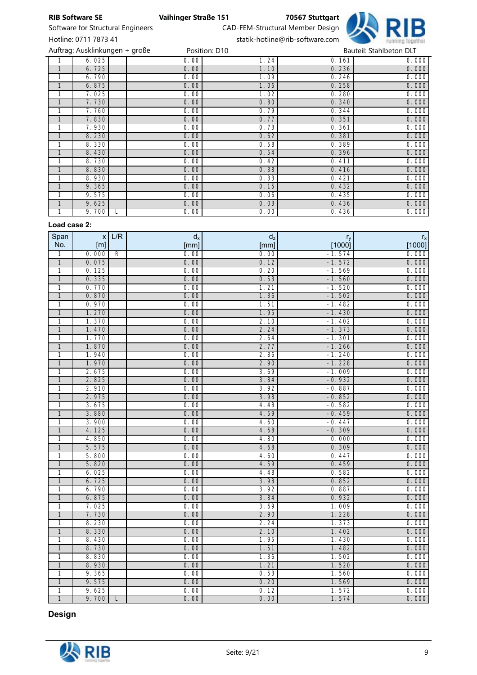

Software for Structural Engineers CAD-FEM-Structural Member Design

Hotline: 0711 7873 41 statik-hotline@rib-software.com

|              | Auftrag: Ausklinkungen + große |      | Position: D10 |       | Bauteil: Stahlbeton DLT |
|--------------|--------------------------------|------|---------------|-------|-------------------------|
|              | 6.025                          | 0.00 | 1.24          | 0.161 | 0.000                   |
| $\mathbf{1}$ | 6.725                          | 0.00 | 1.10          | 0.236 | 0.000                   |
| 1            | 6.790                          | 0.00 | 1.09          | 0.246 | 0.000                   |
|              | 6.875                          | 0.00 | 1.06          | 0.258 | 0.000                   |
|              | 7.025                          | 0.00 | 1.02          | 0.280 | 0.000                   |
|              | 7.730                          | 0.00 | 0.80          | 0.340 | 0.000                   |
|              | 7.760                          | 0.00 | 0.79          | 0.344 | 0.000                   |
|              | 7.830                          | 0.00 | 0.77          | 0.351 | 0.000                   |
| 1            | 7.930                          | 0.00 | 0.73          | 0.361 | 0.000                   |
| $\mathbf{1}$ | 8.230                          | 0.00 | 0.62          | 0.381 | 0.000                   |
|              | 8.330                          | 0.00 | 0.58          | 0.389 | 0.000                   |
|              | 8.430                          | 0.00 | 0.54          | 0.396 | 0.000                   |
|              | 8.730                          | 0.00 | 0.42          | 0.411 | 0.000                   |
|              | 8.830                          | 0.00 | 0.38          | 0.416 | 0.000                   |
|              | 8.930                          | 0.00 | 0.33          | 0.421 | 0.000                   |
|              | 9.365                          | 0.00 | 0.15          | 0.432 | 0.000                   |
|              | 9.575                          | 0.00 | 0.06          | 0.435 | 0.000                   |
|              | 9.625                          | 0.00 | 0.03          | 0.436 | 0.000                   |
|              | 9.700                          | 0.00 | 0.00          | 0.436 | 0.000                   |

## Load case 2:

| Span                    | X              | L/R            | $\mathsf{d}_\mathsf{x}$ | $d_z$        | $r_{y}$        | $r_{\rm x}$    |
|-------------------------|----------------|----------------|-------------------------|--------------|----------------|----------------|
| No.                     | [m]            |                | [mm]                    | [mm]         | [1000]         | [1000]         |
| 1                       | 0.000          | $\overline{R}$ | 0.00                    | 0.00         | $-1.574$       | 0.000          |
| $\overline{1}$          | 0.075          |                | 0.00                    | 0.12         | $-1.572$       | 0.000          |
| 1                       | 0.125          |                | 0.00                    | 0.20         | $-1.569$       | 0.000          |
| $\mathbf{1}$            | 0.335          |                | 0.00                    | 0.53         | $-1.560$       | 0.000          |
| 1                       | 0.770          |                | 0.00                    | 1.21         | $-1.520$       | 0.000          |
| $\mathbf{1}$            | 0.870          |                | 0.00                    | 1.36         | $-1.502$       | 0.000          |
| 1                       | 0.970          |                | 0.00                    | 1.51         | $-1.482$       | 0.000          |
| $\mathbf{1}$            | 1.270          |                | 0.00                    | 1.95         | $-1.430$       | 0.000          |
| 1                       | 1.370          |                | 0.00                    | 2.10         | $-1.402$       | 0.000          |
| $\mathbf{1}$            | 1.470          |                | 0.00                    | 2.24         | $-1.373$       | 0.000          |
| $\mathbf{1}$            | 1.770          |                | 0.00                    | 2.64         | $-1.301$       | 0.000          |
| $\mathbf{1}$            | 1.870          |                | 0.00                    | 2.77         | $-1.266$       | 0.000          |
| 1                       | 1.940          |                | 0.00                    | 2.86         | $-1.240$       | 0.000          |
| $\overline{1}$          | 1.970          |                | 0.00                    | 2.90         | $-1.228$       | 0.000          |
| $\overline{1}$          | 2.675          |                | 0.00                    | 3.69         | $-1.009$       | 0.000          |
| $\overline{\mathbf{1}}$ | 2.825          |                | 0.00                    | 3.84         | $-0.932$       | 0.000          |
| 1                       | 2.910          |                | 0.00                    | 3.92         | $-0.887$       | 0.000          |
| $\mathbf{1}$            | 2.975          |                | 0.00                    | 3.98         | $-0.852$       | 0.000          |
| 1                       | 3.675          |                | 0.00                    | 4.48         | $-0.582$       | 0.000          |
| $\mathbf{1}$            | 3.880          |                | 0.00                    | 4.59         | $-0.459$       | 0.000          |
| $\mathbf{1}$            | 3.900          |                | 0.00                    | 4.60         | $-0.447$       | 0.000          |
| $\mathbf{1}$            | 4.125          |                | 0.00                    | 4.68         | $-0.309$       | 0.000          |
| 1                       | 4.850          |                | 0.00                    | 4.80         | 0.000          | 0.000          |
| $\mathbf{1}$            | 5.575          |                | 0.00                    | 4.68         | 0.309          | 0.000          |
| 1                       | 5.800          |                | 0.00                    | 4.60         | 0.447          | 0.000          |
| $\overline{1}$          | 5.820          |                | 0.00                    | 4.59         | 0.459          | 0.000          |
| 1                       | 6.025          |                | 0.00                    | 4.48         | 0.582<br>0.852 | 0.000          |
| $\mathbf{1}$            | 6.725<br>6.790 |                | 0.00<br>0.00            | 3.98<br>3.92 | 0.887          | 0.000<br>0.000 |
| 1<br>$\mathbf{1}$       | 6.875          |                | 0.00                    | 3.84         | 0.932          | 0.000          |
| 1                       | 7.025          |                | 0.00                    | 3.69         | 1.009          | 0.000          |
| $\mathbf{1}$            | 7.730          |                | 0.00                    | 2.90         | 1.228          | 0.000          |
| 1                       | 8.230          |                | 0.00                    | 2.24         | 1.373          | 0.000          |
| $\mathbf{1}$            | 8.330          |                | 0.00                    | 2.10         | 1.402          | 0.000          |
| 1                       | 8.430          |                | 0.00                    | 1.95         | 1.430          | 0.000          |
| $\mathbf{1}$            | 8.730          |                | 0.00                    | 1.51         | 1.482          | 0.000          |
| 1                       | 8.830          |                | 0.00                    | 1.36         | 1.502          | 0.000          |
| $\mathbf{1}$            | 8.930          |                | 0.00                    | 1.21         | 1.520          | 0.000          |
| 1                       | 9.365          |                | 0.00                    | 0.53         | 1.560          | 0.000          |
| $\mathbf{1}$            | 9.575          |                | 0.00                    | 0.20         | 1.569          | 0.000          |
| 1                       | 9.625          |                | 0.00                    | 0.12         | 1.572          | 0.000          |
| $\overline{1}$          | 9.700          | L              | 0.00                    | 0.00         | 1.574          | 0.000          |
|                         |                |                |                         |              |                |                |

Design

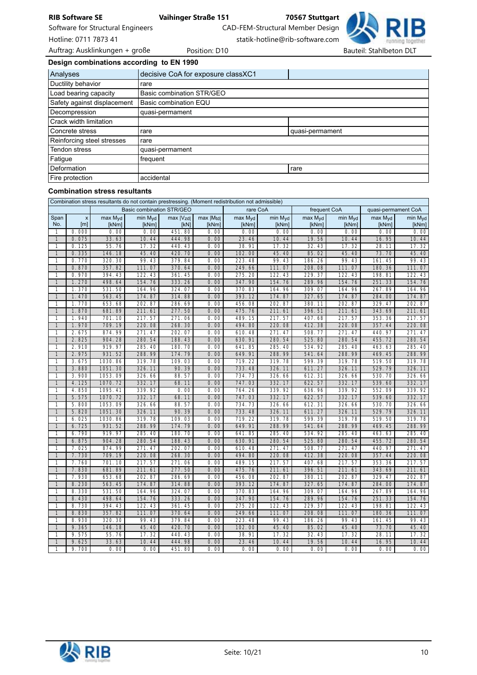

Software for Structural Engineers CAD-FEM-Structural Member Design

Hotline: 0711 7873 41 statik-hotline@rib-software.com

Design combinations according to EN 1990

| Analyses                    | decisive CoA for exposure classXC1 |                 |  |  |  |  |  |  |
|-----------------------------|------------------------------------|-----------------|--|--|--|--|--|--|
| Ductility behavior          | rare                               |                 |  |  |  |  |  |  |
| Load bearing capacity       | Basic combination STR/GEO          |                 |  |  |  |  |  |  |
| Safety against displacement | Basic combination EQU              |                 |  |  |  |  |  |  |
| Decompression               | quasi-permament                    |                 |  |  |  |  |  |  |
| Crack width limitation      |                                    |                 |  |  |  |  |  |  |
| Concrete stress             | rare                               | quasi-permament |  |  |  |  |  |  |
| Reinforcing steel stresses  | rare                               |                 |  |  |  |  |  |  |
| Tendon stress               | quasi-permament                    |                 |  |  |  |  |  |  |
| Fatigue                     | frequent                           |                 |  |  |  |  |  |  |
| Deformation                 | rare                               |                 |  |  |  |  |  |  |
| Fire protection             | accidental                         |                 |  |  |  |  |  |  |

### Combination stress resultants

| Combination stress resultants do not contain prestressing. (Moment redistribution not admissible) |                                               |                              |                                  |                    |                      |                  |                  |                  |                              |                     |                  |
|---------------------------------------------------------------------------------------------------|-----------------------------------------------|------------------------------|----------------------------------|--------------------|----------------------|------------------|------------------|------------------|------------------------------|---------------------|------------------|
|                                                                                                   |                                               |                              | <b>Basic combination STR/GEO</b> |                    |                      | rare CoA         |                  | frequent CoA     |                              | quasi-permament CoA |                  |
| Span<br>No.                                                                                       | $\boldsymbol{\mathsf{x}}$<br>[ <sub>m</sub> ] | max M <sub>vd</sub><br>[kNm] | min Myd<br>[kNm]                 | max   Vzd <br>[kN] | $max$ $Mtd$<br>[kNm] | max Myd<br>[kNm] | min Myd<br>[kNm] | max Myd<br>[kNm] | min M <sub>vd</sub><br>[kNm] | max Myd<br>[kNm]    | min Myd<br>[kNm] |
| $\mathbf{1}$                                                                                      | 0.000                                         | 0.00                         | 0.00                             | 451.80             | 0.00                 | 0.00             | 0.00             | 0.00             | 0.00                         | 0.00                | 0.00             |
| $\mathbf{1}$                                                                                      | 0.075                                         | 33.63                        | 10.44                            | 444.98             | 0.00                 | 23.46            | 10.44            | 19.56            | 10.44                        | 16.95               | 10.44            |
| $\mathbf{1}$                                                                                      | 0.125                                         | 55.76                        | 17.32                            | 440.43             | 0.00                 | 38.91            | 17.32            | 32.43            | 17.32                        | 28.11               | 17.32            |
| $\mathbf{1}$                                                                                      | 0.335                                         | 146.18                       | 45.40                            | 420.70             | 0.00                 | 102.00           | 45.40            | 85.02            | 45.40                        | 73.70               | 45.40            |
| $\mathbf{1}$                                                                                      | 0.770                                         | 320.30                       | 99.43                            | 379.84             | 0.00                 | 223.48           | 99.43            | 186.26           | 99.43                        | 161.45              | 99.43            |
| $\mathbf{1}$                                                                                      | 0.870                                         | 357.82                       | 111.07                           | 370.64             | 0.00                 | 249.66           | 111.07           | 208.08           | 111.07                       | 180.36              | 111.07           |
| 1                                                                                                 | 0.970                                         | 394.43                       | 122.43                           | 361.45             | 0.00                 | 275.20           | 122.43           | 229.37           | 122.43                       | 198.81              | 122.43           |
| $\mathbf{1}$                                                                                      | 1.270                                         | 498.64                       | 154.76                           | 333.26             | 0.00                 | 347.90           | 154.76           | 289.96           | 154.76                       | 251.33              | 154.76           |
| $\mathbf{1}$                                                                                      | 1.370                                         | 531.50                       | 164.96                           | 324.07             | 0.00                 | 370.83           | 164.96           | 309.07           | 164.96                       | 267.89              | 164.96           |
| $\mathbf{1}$                                                                                      | 1.470                                         | 563.45                       | 174.87                           | 314.88             | 0.00                 | 393.12           | 174.87           | 327.65           | 174.87                       | 284.00              | 174.87           |
| 1                                                                                                 | 1.770                                         | 653.68                       | 202.87                           | 286.69             | 0.00                 | 456.08           | 202.87           | 380.11           | 202.87                       | 329.47              | 202.87           |
| $\mathbf{1}$                                                                                      | 1.870                                         | 681.89                       | 211.61                           | 277.50             | 0.00                 | 475.76           | 211.61           | 396.51           | 211.61                       | 343.69              | 211.61           |
| 1                                                                                                 | 1.940                                         | 701.10                       | 217.57                           | 271.06             | 0.00                 | 489.15           | 217.57           | 407.68           | 217.57                       | 353.36              | 217.57           |
| $\mathbf{1}$                                                                                      | 1.970                                         | 709.19                       | 220.08                           | 268.30             | 0.00                 | 494.80           | 220.08           | 412.38           | 220.08                       | 357.44              | 220.08           |
| $\mathbf{1}$                                                                                      | 2.675                                         | 874.99                       | 271.47                           | 202.07             | 0.00                 | 610.48           | 271.47           | 508.77           | 271.47                       | 440.97              | 271.47           |
| $\mathbf{1}$                                                                                      | 2.825                                         | 904.28                       | 280.54                           | 188.43             | 0.00                 | 630.91           | 280.54           | 525.80           | 280.54                       | 455.72              | 280.54           |
| 1                                                                                                 | 2.910                                         | 919.97                       | 285.40                           | 180.70             | 0.00                 | 641.85           | 285.40           | 534.92           | 285.40                       | 463.63              | 285.40           |
| $\mathbf{1}$                                                                                      | 2.975                                         | 931.52                       | 288.99                           | 174.79             | 0.00                 | 649.91           | 288.99           | 541.64           | 288.99                       | 469.45              | 288.99           |
| $\mathbf{1}$                                                                                      | 3.675                                         | 1030.86                      | 319.78                           | 109.03             | 0.00                 | 719.22           | 319.78           | 599.39           | 319.78                       | 519.50              | 319.78           |
| $\mathbf{1}$                                                                                      | 3.880                                         | 1051.30                      | 326.11                           | 90.39              | 0.00                 | 733.48<br>734.73 | 326.11           | 611.27           | 326.11                       | 529.79              | 326.11           |
| 1<br>$\mathbf{1}$                                                                                 | 3.900<br>4.125                                | 1053.09<br>1070.72           | 326.66<br>332.17                 | 88.57<br>68.11     | 0.00<br>0.00         | 747.03           | 326.66<br>332.17 | 612.31<br>622.57 | 326.66<br>332.17             | 530.70<br>539.60    | 326.66<br>332.17 |
| 1                                                                                                 | 4.850                                         | 1095.41                      | 339.92                           | 0.00               | 0.00                 | 764.26           | 339.92           | 636.96           | 339.92                       | 552.09              | 339.92           |
| $\mathbf{1}$                                                                                      | 5.575                                         | 1070.72                      | 332.17                           | 68.11              | 0.00                 | 747.03           | 332.17           | 622.57           | 332.17                       | 539.60              | 332.17           |
| 1                                                                                                 | 5.800                                         | 1053.09                      | 326.66                           | 88.57              | 0.00                 | 734.73           | 326.66           | 612.31           | 326.66                       | 530.70              | 326.66           |
| $\mathbf{1}$                                                                                      | 5.820                                         | 1051.30                      | 326.11                           | 90.39              | 0.00                 | 733.48           | 326.11           | 611.27           | 326.11                       | 529.79              | 326.11           |
| $\mathbf{1}$                                                                                      | 6.025                                         | 1030.86                      | 319.78                           | 109.03             | 0.00                 | 719.22           | 319.78           | 599.39           | 319.78                       | 519.50              | 319.78           |
| $\mathbf{1}$                                                                                      | 6.725                                         | 931.52                       | 288.99                           | 174.79             | 0.00                 | 649.91           | 288.99           | 541.64           | 288.99                       | 469.45              | 288.99           |
| $\mathbf{1}$                                                                                      | 6.790                                         | 919.97                       | 285.40                           | 180.70             | 0.00                 | 641.85           | 285.40           | 534.92           | 285.40                       | 463.63              | 285.40           |
| $\mathbf{1}$                                                                                      | 6.875                                         | 904.28                       | 280.54                           | 188.43             | 0.00                 | 630.91           | 280.54           | 525.80           | 280.54                       | 455.72              | 280.54           |
| $\mathbf{1}$                                                                                      | 7.025                                         | 874.99                       | 271.47                           | 202.07             | 0.00                 | 610.48           | 271.47           | 508.77           | 271.47                       | 440.97              | 271.47           |
| $\mathbf{1}$                                                                                      | 7.730                                         | 709.19                       | 220.08                           | 268.30             | 0.00                 | 494.80           | 220.08           | 412.38           | 220.08                       | 357.44              | 220.08           |
| $\mathbf{1}$                                                                                      | 7.760                                         | 701.10                       | 217.57                           | 271.06             | 0.00                 | 489.15           | 217.57           | 407.68           | 217.57                       | 353.36              | 217.57           |
| $\mathbf{1}$                                                                                      | 7.830                                         | 681.89                       | 211.61                           | 277.50             | 0.00                 | 475.76           | 211.61           | 396.51           | 211.61                       | 343.69              | 211.61           |
| $\mathbf{1}$                                                                                      | 7.930                                         | 653.68                       | 202.87                           | 286.69             | 0.00                 | 456.08           | 202.87           | 380.11           | 202.87                       | 329.47              | 202.87           |
| $\mathbf{1}$                                                                                      | 8.230                                         | 563.45                       | 174.87                           | 314.88             | 0.00                 | 393.12           | 174.87           | 327.65           | 174.87                       | 284.00              | 174.87           |
| 1                                                                                                 | 8.330                                         | 531.50                       | 164.96                           | 324.07             | 0.00                 | 370.83           | 164.96           | 309.07           | 164.96                       | 267.89              | 164.96           |
| $\mathbf{1}$                                                                                      | 8.430                                         | 498.64                       | 154.76                           | 333.26             | 0.00                 | 347.90           | 154.76           | 289.96           | 154.76                       | 251.33              | 154.76           |
| $\mathbf{1}$                                                                                      | 8.730                                         | 394.43                       | 122.43                           | 361.45             | 0.00                 | 275.20           | 122.43           | 229.37           | 122.43                       | 198.81              | 122.43           |
| $\mathbf{1}$                                                                                      | 8.830                                         | 357.82                       | 111.07                           | 370.64             | 0.00                 | 249.66           | 111.07           | 208.08           | 111.07                       | 180.36              | 111.07           |
| $\mathbf{1}$                                                                                      | 8.930                                         | 320.30                       | 99.43                            | 379.84             | 0.00                 | 223.48           | 99.43            | 186.26           | 99.43                        | 161.45              | 99.43            |
| $\mathbf{1}$                                                                                      | 9.365                                         | 146.18                       | 45.40                            | 420.70             | 0.00                 | 102.00           | 45.40            | 85.02            | 45.40                        | 73.70               | 45.40            |
| 1                                                                                                 | 9.575                                         | 55.76                        | 17.32                            | 440.43             | 0.00                 | 38.91            | 17.32            | 32.43            | 17.32                        | 28.11               | 17.32            |
| $\mathbf{1}$                                                                                      | 9.625                                         | 33.63                        | 10.44                            | 444.98             | 0.00                 | 23.46            | 10.44            | 19.56            | 10.44                        | 16.95               | 10.44            |
| $\mathbf{1}$                                                                                      | 9.700                                         | 0.00                         | 0.00                             | 451.80             | 0.00                 | 0.00             | 0.00             | 0.00             | 0.00                         | 0.00                | 0.00             |

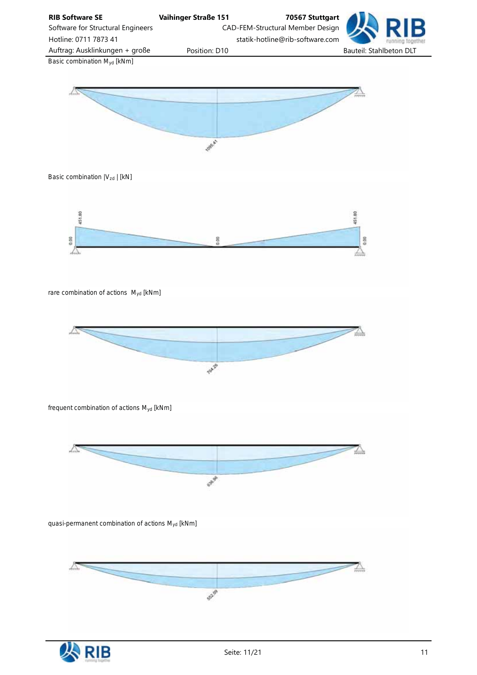

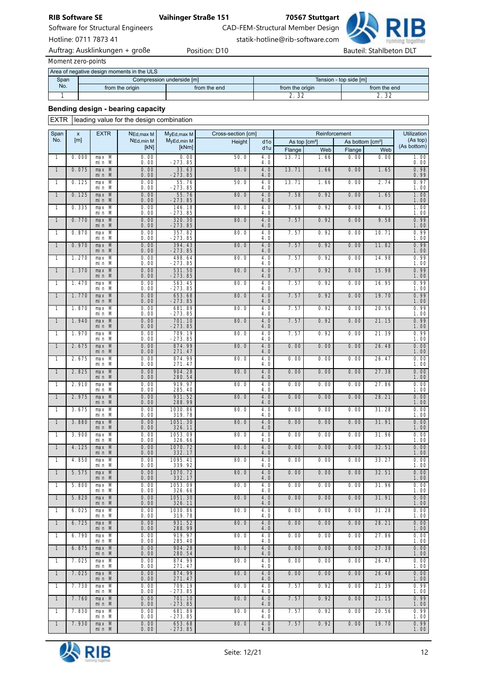Software for Structural Engineers CAD-FEM-Structural Member Design

Hotline: 0711 7873 41 statik-hotline@rib-software.com



*Moment zero-points*

|      | Area of negative design moments in the ULS |                           |                        |                 |  |  |  |  |  |
|------|--------------------------------------------|---------------------------|------------------------|-----------------|--|--|--|--|--|
| Span |                                            | Compression underside [m] | Tension - top side [m] |                 |  |  |  |  |  |
| No.  | from the origin                            | from the end              | from the origin        | from the end    |  |  |  |  |  |
|      |                                            |                           | $\sim$<br>$\sim$       | $\cap$<br>ے ۔ ے |  |  |  |  |  |

# Bending design - bearing capacity

EXTR leading value for the design combination

| Span         | X     | <b>EXTR</b>       | $N_{\text{Ed,max} M}$       | MyEd, max M              | Cross-section [cm] |                         |                           |             | Reinforcement                |             | Utilization                            |
|--------------|-------|-------------------|-----------------------------|--------------------------|--------------------|-------------------------|---------------------------|-------------|------------------------------|-------------|----------------------------------------|
| No.          | [m]   |                   | NEd, min M<br>$[KN]$        | MyEd, min M<br>[kNm]     | Height             | d <sub>10</sub>         | As top [cm <sup>2</sup> ] |             | As bottom [cm <sup>2</sup> ] |             | (As top)<br>(As bottom)                |
| $\mathbf{1}$ | 0.000 | $max$ M           | 0.00                        |                          | 50.0               | d1u<br>4.0              | Flange<br>13.71           | Web<br>1.66 | Flange<br>0.00               | Web<br>0.00 |                                        |
| $\mathbf{1}$ | 0.075 | min M<br>$max$ M  | 0.00<br>0.00                | $0.00 - 273.85$<br>33.63 | 50.0               | 4.0<br>4.0              | 13.71                     | 1.66        | 0.00                         | 1.65        | $\frac{1.00}{0.00}$                    |
| 1            | 0.125 | min M<br>max M    | 0.00<br>0.00                | $-273.85$<br>55.76       | 50.0               | 4.0<br>4.0              | 13.71                     | 1.66        | 0.00                         | 2.74        | $0.98$<br>$0.99$<br>0.97               |
| $\mathbf{1}$ | 0.125 | min M<br>max M    | 0.00<br>0.00                | $-273.85$<br>55.76       | 80.0               | 4.0<br>4.0              | 7.58                      | 0.92        | 0.00                         | 1.65        | 1.00                                   |
| 1            | 0.335 | min M<br>max M    | 0.00                        | $-273.85$<br>146.18      | 80.0               | 4.0<br>4.0              | 7.58                      | 0.92        | 0.00                         | 4.35        | $\frac{1.00}{1.00}$                    |
| $\mathbf{1}$ | 0.770 | min M<br>$max$ M  | $\frac{0.00}{0.00}$<br>0.00 | $-273.85$<br>320.30      | 80.0               | 4.0<br>4.0              | 7.57                      | 0.92        | 0.00                         |             | $\frac{1.00}{1.00}$                    |
|              |       | min M             | 0.00                        | $-273.85$                |                    | 4.0                     |                           |             |                              | 9.58        | $0.99$<br>$1.00$                       |
| $\mathbf{1}$ | 0.870 | max M<br>min M    | 0.00<br>0.00                | 357.82<br>$-273.85$      | 80.0               | 4.0<br>4.0              | 7.57                      | 0.92        | 0.00                         | 10.71       | $\frac{0.99}{1.00}$                    |
| $\mathbf{1}$ | 0.970 | max M<br>min M    | 0.00<br>0.00                | 394.43<br>$-273.85$      | 80.0               | 4.0<br>4.0              | 7.57                      | 0.92        | 0.00                         | 11.82       | 0.99<br>1.00                           |
| $\mathbf{1}$ | 1.270 | $max$ M<br>min M  | $\frac{0.00}{0.00}$         | 498.64<br>$-273.85$      | 80.0               | 4.0<br>4.0              | 7.57                      | 0.92        | 0.00                         | 14.98       | $\frac{0.99}{1.00}$                    |
| $\mathbf{1}$ | 1.370 | max M<br>min M    | 0.00<br>0.00                | 531.50<br>$-273.85$      | 80.0               | 4.0<br>4.0              | 7.57                      | 0.92        | 0.00                         | 15.98       | $0.99$<br>$1.00$                       |
| $\mathbf{1}$ | 1.470 | max M<br>min M    | $\frac{0.00}{0.00}$         | 563.45<br>$-273.85$      | 80.0               | 4.0<br>4.0              | 7.57                      | 0.92        | 0.00                         | 16.95       | $\frac{0.99}{1.00}$                    |
| $\mathbf{1}$ | 1.770 | $max$ M<br>min M  | 0.00<br>0.00                | 653.68<br>$-273.85$      | 80.0               | 4.0<br>4.0              | 7.57                      | 0.92        | 0.00                         | 19.70       | 0.99<br>1.00                           |
| 1            | 1.870 | max M<br>min M    | 0.00<br>0.00                | 681.89<br>$-273.85$      | 80.0               | 4.0<br>4.0              | 7.57                      | 0.92        | 0.00                         | 20.56       | $0.99$<br>$1.00$                       |
| $\mathbf{1}$ | 1.940 | $max$ M<br>min M  | 0.00<br>0.00                | 701.10<br>$-273.85$      | 80.0               | 4.0<br>4.0              | 7.57                      | 0.92        | 0.00                         | 21.15       | $0.99$<br>$1.00$                       |
| $\mathbf{1}$ | 1.970 | max M<br>min M    | $\frac{0.00}{0.00}$         | 709.19<br>$-273.85$      | 80.0               | 4.0<br>4.0              | 7.57                      | 0.92        | 0.00                         | 21.39       | $\frac{0.99}{1.00}$                    |
| $\mathbf{1}$ | 2.675 | max M<br>$mi n$ M | 0.00<br>0.00                | 874.99<br>271.47         | 80.0               | 4.0<br>4.0              | 0.00                      | 0.00        | 0.00                         | 26.48       | $\frac{0.00}{1.00}$                    |
| $\mathbf{1}$ | 2.675 | $max$ M<br>min M  | $\frac{0.00}{0.00}$         | 874.99<br>271.47         | 80.0               | 4.0<br>4.0              | 0.00                      | 0.00        | 0.00                         | 26.47       | $\frac{0.00}{1.00}$                    |
| $\mathbf{1}$ | 2.825 | max M<br>min M    | 0.00<br>0.00                | 904.28<br>280.54         | 80.0               | 4.0<br>4.0              | 0.00                      | 0.00        | 0.00                         | 27.38       | $\frac{0.00}{1.00}$                    |
| $\mathbf{1}$ | 2.910 | max M             | $\frac{0.00}{0.00}$         | 919.97                   | 80.0               | 4.0                     | 0.00                      | 0.00        | 0.00                         | 27.86       | $\frac{0.00}{1.00}$                    |
| $\mathbf{1}$ | 2.975 | min M<br>max M    | 0.00                        | 285.40<br>931.52         | 80.0               | 4.0<br>4.0              | 0.00                      | 0.00        | 0.00                         | 28.21       | $\frac{0.00}{1.00}$                    |
| 1            | 3.675 | min M<br>max M    | 0.00<br>$\frac{0.00}{0.00}$ | 288.99<br>1030.86        | 80.0               | 4.0<br>4.0              | 0.00                      | 0.00        | 0.00                         | 31.28       | $0.00$<br>$1.00$                       |
| $\mathbf{1}$ | 3.880 | min M<br>$max$ M  | 0.00                        | 319.78<br>1051.30        | 80.0               | 4.0<br>$\overline{4.0}$ | 0.00                      | 0.00        | 0.00                         | 31.91       | $\frac{0.00}{1.00}$                    |
| $\mathbf{1}$ | 3.900 | min M<br>max M    | 0.00<br>0.00                | 326.11<br>1053.09        | 80.0               | 4.0<br>4.0              | 0.00                      | 0.00        | 0.00                         | 31.96       | $\frac{0.00}{1.00}$                    |
| $\mathbf{1}$ | 4.125 | min M<br>max M    | 0.00<br>0.00                | 326.66<br>1070.72        | 80.0               | 4.0<br>4.0              | 0.00                      | 0.00        | 0.00                         | 32.51       | $\frac{0.00}{1.00}$                    |
| $\mathbf{1}$ | 4.850 | min M<br>$max$ M  | 0.00<br>$\frac{0.00}{0.00}$ | 332.17<br>1095.41        | 80.0               | 4.0<br>4.0              | 0.00                      | 0.00        | 0.00                         | 33.27       | $\overline{0.00}$<br>$\overline{1.00}$ |
| $\mathbf{1}$ | 5.575 | min M<br>$max$ M  | 0.00                        | 339.92<br>1070.72        | 80.0               | 4.0<br>4.0              | 0.00                      | 0.00        | 0.00                         | 32.51       | $\frac{0.00}{1.00}$                    |
| $\mathbf{1}$ | 5.800 | min M<br>max M    | 0.00<br>0.00                | 332.17<br>1053.09        | 80.0               | 4.0<br>4.0              | 0.00                      | 0.00        | 0.00                         | 31.96       | $\overline{0.00}$                      |
| $\mathbf{1}$ | 5.820 | min M<br>max M    | 0.00<br>0.00                | 326.66<br>1051.30        | 80.0               | 4.0<br>4.0              | 0.00                      | 0.00        | 0.00                         | 31.91       | 1.00<br>0.00                           |
| $\mathbf{1}$ | 6.025 | min M<br>max M    | 0.00<br>0.00                | 326.11<br>1030.86        | 80.0               | 4.0<br>4.0              | 0.00                      | 0.00        | 0.00                         | 31.28       | 1.00<br>0.00                           |
| $\mathbf{1}$ | 6.725 | min M<br>max M    | 0.00<br>0.00                | 319.78<br>931.52         | 80.0               | 4.0<br>4.0              | 0.00                      | 0.00        | 0.00                         | 28.21       | 1.00<br>0.00                           |
|              | 6.790 | min M             | 0.00<br>0.00                | 288.99<br>919.97         |                    | 4.0                     |                           |             |                              |             | 1.00                                   |
| 1            |       | max M<br>min M    | 0.00                        | 285.40                   | 80.0               | 4.0<br>4.0              | 0.00                      | 0.00        | 0.00                         | 27.86       | 0.00<br>1.00                           |
| $\mathbf{1}$ | 6.875 | max M<br>min M    | 0.00<br>0.00                | 904.28<br>280.54         | 80.0               | 4.0<br>4.0              | 0.00                      | 0.00        | 0.00                         | 27.38       | 0.00<br>1.00                           |
| 1            | 7.025 | $max$ M<br>min M  | 0.00<br>0.00                | 874.99<br>271.47         | 80.0               | 4.0<br>4.0              | 0.00                      | 0.00        | 0.00                         | 26.47       | 0.00<br>1.00                           |
| $\mathbf{1}$ | 7.025 | $max$ M<br>min M  | 0.00<br>0.00                | 874.99<br>271.47         | 80.0               | 4.0<br>4.0              | 0.00                      | 0.00        | 0.00                         | 26.48       | 0.00<br>1.00                           |
| 1            | 7.730 | max M<br>min M    | 0.00<br>0.00                | 709.19<br>$-273.85$      | 80.0               | 4.0<br>4.0              | 7.57                      | 0.92        | 0.00                         | 21.39       | 0.99<br>1.00                           |
| $\mathbf{1}$ | 7.760 | max M<br>min M    | 0.00<br>0.00                | 701.10<br>$-273.85$      | 80.0               | 4.0<br>4.0              | 7.57                      | 0.92        | 0.00                         | 21.15       | 0.99<br>1.00                           |
| 1            | 7.830 | max M<br>min M    | 0.00<br>0.00                | 681.89<br>-273.85        | 80.0               | 4.0<br>4.0              | 7.57                      | 0.92        | 0.00                         | 20.56       | 0.99<br>1.00                           |
| $\mathbf{1}$ | 7.930 | max M<br>min M    | 0.00<br>0.00                | 653.68<br>$-273.85$      | 80.0               | 4.0<br>4.0              | 7.57                      | 0.92        | 0.00                         | 19.70       | 0.99<br>1.00                           |

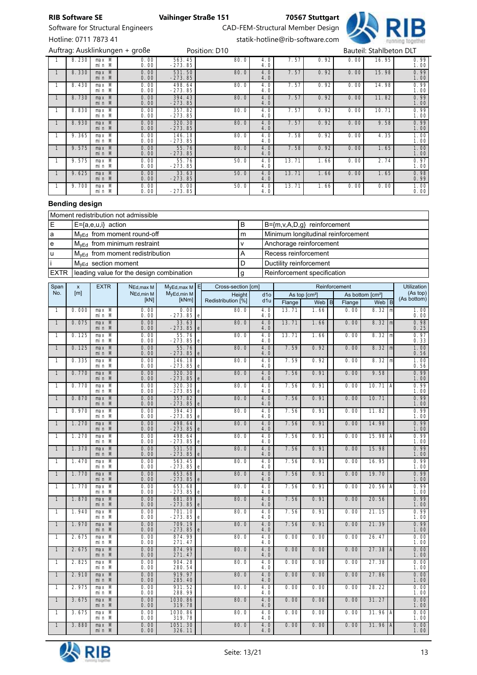



 $8.230$ max M<br>min M 0.00 0.00 563.45 -273.85  $80.0$  $\frac{4.0}{4.0}$  $7.57$  0.92 0.00 16.95  $0.99$ <br> $1.00$ 1 8.330 max M<br>min M 0.00 0.00 531.50 -273.85  $80.0$  $\frac{4.0}{4.0}$ 7.57 0.92 0.00 15.98 0.99  $0.99$ <br> $1.00$ 1 8.430 max M<br>min M 0.00 0.00 498.64 -273.85  $80.0$  $\overline{4.0}$ <br> $4.0$ 7.57 0.92 0.00 14.98 0.99  $\overline{0.99}$ <br>1.00  $1 \mid 8.730$  $max$   $M$ <br> $min$   $M$ 0.00 0.00 394.43 -273.85  $80.0$  $\frac{4.0}{4.0}$  $7.57$  0.92 0.00 11.82  $0.99$ <br>1.00 1 8.830 max M<br>min M 0.00 0.00 357.82 -273.85  $80.0$  $\overline{4.0}$ <br> $4.0$ 7.57 0.92 0.00 10.71  $\frac{1.16}{0.99}$ <br>1.00  $1 \t 8.930$ max M<br>min M 0.00 0.00 320.30 -273.85  $80.0$  $4.0$ <br> $4.0$  $7.57$  0.92 0.00 9.58  $0.99$ <br> $1.00$ 1 9.365 max M min M 0.00 0.00 146.18 -273.85  $80.0$  $\frac{4.0}{4.0}$  $7.58$  0.92 0.00 4.35  $\frac{1.00}{1.00}$ 1 9.575 max M min M 0.00 0.00 55.76 -273.85  $80.0$  $4.0$ <br> $4.0$ 7.58 0.92 0.00 1.65 1.00 1.00 1 9.575 max M min M 0.00 0.00 55.76 -273.85  $50.0$  $\frac{4.0}{4.0}$  $13.71$   $1.66$  0.00 2.74  $0.97$ <br>1.00 1 9.625 max M min M 0.00 0.00 33.63 -273.85  $50.0$  $4.0$ <br> $4.0$ 13.71 1.66 0.00 1.65 0.98<br>0.99 1 9.700 max M<br>min M 0.00 0.00 0.00 -273.85  $50.0$  $\frac{4.0}{4.0}$  $13.71$   $1.66$  0.00 0.00  $\overline{1.00}$ <br> $0.00$ Auftrag: Ausklinkungen + große eine Position: D10 Bauteil: Stahlbeton DLT

### Bending design

| Moment redistribution not admissible |                                             |   |                                    |  |  |  |  |
|--------------------------------------|---------------------------------------------|---|------------------------------------|--|--|--|--|
| E                                    | E={a,e,u,i} action                          | В | $B=\{m,v,A,D,g\}$ reinforcement    |  |  |  |  |
| a                                    | $M_{\text{VEd}}$ from moment round-off      | m | Minimum longitudinal reinforcement |  |  |  |  |
| e                                    | $M_{VEd}$ from minimum restraint            |   | Anchorage reinforcement            |  |  |  |  |
| u                                    | $M_{\text{VEd}}$ from moment redistribution | А | Recess reinforcement               |  |  |  |  |
|                                      | M <sub>yEd</sub> section moment             |   | Ductility reinforcement            |  |  |  |  |
| EXTR                                 | leading value for the design combination    | g | Reinforcement specification        |  |  |  |  |

| Span           | $\pmb{\times}$ | <b>EXTR</b>          | NEd, max M   | MyEd, max M E         |             | Cross-section [cm] |                         | Reinforcement |                           |  |        |                              | Utilization                 |
|----------------|----------------|----------------------|--------------|-----------------------|-------------|--------------------|-------------------------|---------------|---------------------------|--|--------|------------------------------|-----------------------------|
| No.            | [m]            |                      | NEd, min M   | MyEd, min M           |             | Height             | d <sub>10</sub>         |               | As top [cm <sup>2</sup> ] |  |        | As bottom [cm <sup>2</sup> ] | (As top)<br>(As bottom)     |
|                |                |                      | [kN]         | [kNm]                 |             | Redistribution [%] | d1u                     | Flange        | Web $ B $                 |  | Flange | Web $ B $                    |                             |
| $\mathbf{1}$   | 0.000          | max M<br>min M       | 0.00<br>0.00 | 0.00<br>$-273.85$ e   |             | 80.0               | 4.0<br>4.0              | 13.71         | 1.66                      |  | 0.00   | $8.32 \, m$                  | $\frac{1.00}{0.00}$         |
| $\overline{1}$ | 0.075          | $max$ M<br>min M     | 0.00<br>0.00 | 33.63<br>$-273.85$    | e           | 80.0               | 4.0<br>4.0              | 13.71         | 1.66                      |  | 0.00   | $8.32$ m                     | $0.98$<br>$0.25$            |
| $\mathbf{1}$   | 0.125          | max M<br>min M       | 0.00<br>0.00 | 55.76<br>$-273.85$    | e           | 80.0               | 4.0<br>4.0              | 13.71         | 1.66                      |  | 0.00   | $8.32 \, \text{m}$           | 0.97<br>0.33                |
| $\mathbf{1}$   | 0.125          | max M<br>min M       | 0.00<br>0.00 | 55.76<br>$-273.85$    | $\mathbf e$ | 80.0               | 4.0<br>4.0              | 7.59          | 0.92                      |  | 0.00   | $8.32$ m                     | $\frac{1.00}{0.56}$         |
| $\mathbf{1}$   | 0.335          | max M<br>min M       | 0.00<br>0.00 | 146.18<br>$-273.85$   | e           | 80.0               | 4.0<br>4.0              | 7.59          | 0.92                      |  | 0.00   | 8.32   m                     | $\frac{1.00}{0.56}$         |
| $\mathbf{1}$   | 0.770          | $max$ M<br>min M     | 0.00<br>0.00 | 320.30<br>$-273.85$   | e           | 80.0               | $\overline{4.0}$<br>4.0 | 7.56          | 0.91                      |  | 0.00   | 9.58                         | $0.99$<br>$1.00$            |
| $\mathbf{1}$   | 0.770          | max M<br>min M       | 0.00<br>0.00 | 320.30<br>$-273.85$ e |             | 80.0               | 4.0<br>4.0              | 7.56          | 0.91                      |  | 0.00   | 10.71 A                      | 0.99<br>1.00                |
| $\mathbf{1}$   | 0.870          | $max$ M<br>min M     | 0.00<br>0.00 | 357.82<br>$-273.85$   | e           | 80.0               | 4.0<br>4.0              | 7.56          | 0.91                      |  | 0.00   | 10.71                        | 0.99<br>1.00                |
| $\mathbf{1}$   | 0.970          | $max$ M<br>min M     | 0.00<br>0.00 | 394.43<br>$-273.85$   | e           | 80.0               | $\overline{4.0}$<br>4.0 | 7.56          | 0.91                      |  | 0.00   | 11.82                        | 0.99<br>1.00                |
| $\mathbf{1}$   | 1.270          | max M<br>min M       | 0.00<br>0.00 | 498.64<br>$-273.85$ e |             | 80.0               | 4.0<br>4.0              | 7.56          | 0.91                      |  | 0.00   | 14.98                        | $0.99$<br>$1.00$            |
| $\mathbf{1}$   | 1.270          | max M<br>min M       | 0.00<br>0.00 | 498.64<br>$-273.85$   | e           | 80.0               | 4.0<br>4.0              | 7.56          | 0.91                      |  | 0.00   | 15.98 $ A $                  | 0.99<br>1.00                |
| $\overline{1}$ | 1.370          | $max$ M<br>min M     | 0.00<br>0.00 | 531.50<br>$-273.85$ e |             | 80.0               | $\overline{4.0}$<br>4.0 | 7.56          | 0.91                      |  | 0.00   | 15.98                        | $0.99$<br>$1.00$            |
| $\mathbf{1}$   | 1.470          | $max$ M<br>min M     | 0.00<br>0.00 | 563.45<br>$-273.85$ e |             | 80.0               | 4.0<br>4.0              | 7.56          | 0.91                      |  | 0.00   | 16.95                        | 0.99<br>1.00                |
| $\overline{1}$ | 1.770          | max M<br>min M       | 0.00<br>0.00 | 653.68<br>$-273.85$   | e           | 80.0               | 4.0<br>4.0              | 7.56          | 0.91                      |  | 0.00   | 19.70                        | 0.99<br>1.00                |
| $\overline{1}$ | 1.770          | $max$ M<br>min M     | 0.00<br>0.00 | 653.68<br>$-273.85$   | e           | 80.0               | 4.0<br>4.0              | 7.56          | 0.91                      |  | 0.00   | 20.56   A                    | $\overline{0.99}$<br>1.00   |
| $\mathbf{1}$   | 1.870          | $max$ M<br>min M     | 0.00<br>0.00 | 681.89<br>$-273.85$   | e           | 80.0               | 4.0<br>4.0              | 7.56          | 0.91                      |  | 0.00   | 20.56                        | $0.99$<br>$1.00$            |
| $\mathbf{1}$   | 1.940          | max M<br>min M       | 0.00<br>0.00 | 701.10<br>$-273.85$   | e           | 80.0               | 4.0<br>4.0              | 7.56          | 0.91                      |  | 0.00   | 21.15                        | 0.99<br>1.00                |
| $\mathbf{1}$   | 1.970          | $max$ M<br>min M     | 0.00<br>0.00 | 709.19<br>$-273.85$   | $\mathbf e$ | 80.0               | 4.0<br>4.0              | 7.56          | 0.91                      |  | 0.00   | 21.39                        | $0.99$<br>$1.00$            |
| $\mathbf{1}$   | 2.675          | max M<br>min M       | 0.00<br>0.00 | 874.99<br>271.47      |             | 80.0               | 4.0<br>4.0              | 0.00          | 0.00                      |  | 0.00   | 26.47                        | $\frac{0.00}{1.00}$         |
| $\mathbf{1}$   | 2.675          | max M<br>min M       | 0.00<br>0.00 | 874.99<br>271.47      |             | 80.0               | 4.0<br>4.0              | 0.00          | 0.00                      |  | 0.00   | 27.38  A                     | 0.00<br>1.00                |
| $\overline{1}$ | 2.825          | $max$ M<br>min M     | 0.00<br>0.00 | 904.28<br>280.54      |             | 80.0               | 4.0<br>4.0              | 0.00          | 0.00                      |  | 0.00   | 27.38                        | $\overline{0.00}$<br>$1.00$ |
| $\mathbf{1}$   | 2.910          | max M<br>min M       | 0.00<br>0.00 | 919.97<br>285.40      |             | 80.0               | 4.0<br>4.0              | 0.00          | 0.00                      |  | 0.00   | 27.86                        | $0.00$<br>$1.00$            |
| $\mathbf{1}$   | 2.975          | max M<br>$min \ n$ M | 0.00<br>0.00 | 931.52<br>288.99      |             | 80.0               | 4.0<br>4.0              | 0.00          | 0.00                      |  | 0.00   | 28.22                        | 0.00<br>1.00                |
| $\mathbf{1}$   | 3.675          | $max$ M<br>min M     | 0.00<br>0.00 | 1030.86<br>319.78     |             | 80.0               | 4.0<br>4.0              | 0.00          | 0.00                      |  | 0.00   | 31.27                        | $0.00$<br>$1.00$            |
| $\mathbf{1}$   | 3.675          | max M<br>min M       | 0.00<br>0.00 | 1030.86<br>319.78     |             | 80.0               | 4.0<br>4.0              | 0.00          | 0.00                      |  | 0.00   | 31.96   A                    | $\frac{0.00}{1.00}$         |
| $\mathbf{1}$   | 3.880          | max M<br>min M       | 0.00<br>0.00 | 1051.30<br>326.11     |             | 80.0               | 4.0<br>4.0              | 0.00          | 0.00                      |  | 0.00   | 31.96   A                    | 0.00<br>1.00                |

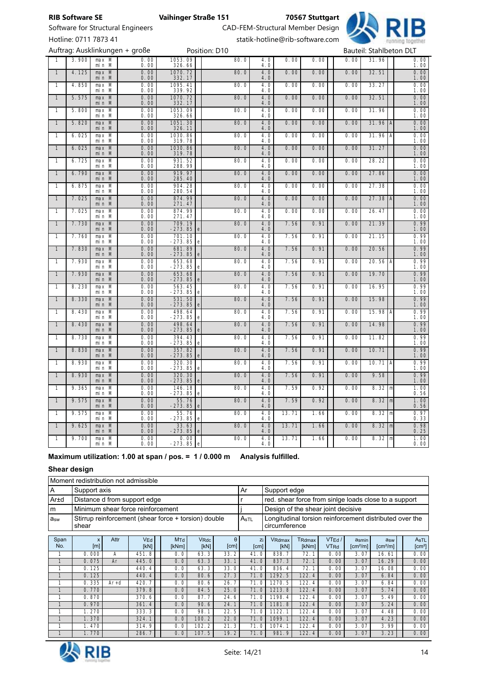Software for Structural Engineers CAD-FEM-Structural Member Design



Hotline: 0711 7873 41 statik-hotline@rib-software.com

|                |       |                  | Auftrag: Ausklinkungen + große              |                                        | Position: D10 |            |       |      |      | Bauteil: Stahlbeton DLT |                                                      |
|----------------|-------|------------------|---------------------------------------------|----------------------------------------|---------------|------------|-------|------|------|-------------------------|------------------------------------------------------|
|                | 3.900 | $max$ M<br>min M | $\frac{0.00}{0.00}$                         | 1053.09<br>326.66                      | 80.0          | 4.0<br>4.0 | 0.00  | 0.00 | 0.00 | 31.96                   | $\frac{0.00}{1.00}$                                  |
| $\overline{1}$ | 4.125 | max M<br>min M   | $\frac{0.00}{0.00}$                         | 1070.72<br>332.17                      | 80.0          | 4.0<br>4.0 | 0.00  | 0.00 | 0.00 | 32.51                   | $0.00$<br>$1.00$                                     |
| $\mathbf{1}$   | 4.850 | max M<br>min M   | 0.00<br>0.00                                | 1095.41<br>339.92                      | 80.0          | 4.0<br>4.0 | 0.00  | 0.00 | 0.00 | 33.27                   | $\frac{0.00}{1.00}$                                  |
| $\overline{1}$ | 5.575 | max M<br>min M   | $\begin{array}{c} 0.00 \\ 0.00 \end{array}$ | 1070.72<br>332.17                      | 80.0          | 4.0<br>4.0 | 0.00  | 0.00 | 0.00 | 32.51                   | $0.00$<br>$1.00$                                     |
| 1              | 5.800 | max M<br>min M   | $\frac{0.00}{0.00}$                         | 1053.09<br>326.66                      | 80.0          | 4.0<br>4.0 | 0.00  | 0.00 | 0.00 | 31.96                   | $\frac{0.00}{1.00}$                                  |
| $\mathbf{1}$   | 5.820 | $max$ M<br>min M | $\begin{array}{c} 0.00 \\ 0.00 \end{array}$ | 1051.30<br>326.11                      | 80.0          | 4.0<br>4.0 | 0.00  | 0.00 | 0.00 | $31.96$ A               | $0.00$<br>$1.00$                                     |
| $\overline{1}$ | 6.025 | $max$ M<br>min M | 0.00<br>0.00                                | 1030.86<br>319.78                      | 80.0          | 4.0<br>4.0 | 0.00  | 0.00 | 0.00 | $31.96$ A               | $\frac{0.00}{1.00}$                                  |
| $\mathbf{1}$   | 6.025 | max M<br>min M   | $\begin{array}{c} 0.00 \\ 0.00 \end{array}$ | 1030.86<br>319.78                      | 80.0          | 4.0<br>4.0 | 0.00  | 0.00 | 0.00 | 31.27                   | $0.00$<br>$1.00$                                     |
| $\mathbf{1}$   | 6.725 | max M<br>min M   | 0.00<br>0.00                                | 931.52<br>288.99                       | 80.0          | 4.0<br>4.0 | 0.00  | 0.00 | 0.00 | 28.22                   | $\overline{0.00}$<br>1.00                            |
| $\mathbf{1}$   | 6.790 | max M<br>min M   | 0.00<br>0.00                                | 919.97<br>285.40                       | 80.0          | 4.0<br>4.0 | 0.00  | 0.00 | 0.00 | 27.86                   | $0.00$<br>$1.00$                                     |
| 1              | 6.875 | max M<br>min M   | $\frac{0.00}{0.00}$                         | 904.28<br>280.54                       | 80.0          | 4.0<br>4.0 | 0.00  | 0.00 | 0.00 | 27.38                   | $\frac{0.00}{1.00}$                                  |
| $\mathbf{1}$   | 7.025 | max M<br>min M   | $0.00$<br>$0.00$                            | 874.99<br>271.47                       | 80.0          | 4.0<br>4.0 | 0.00  | 0.00 | 0.00 | $27.38$ A               | $0.00$<br>$1.00$                                     |
| $\mathbf{1}$   | 7.025 | max M<br>min M   | 0.00<br>0.00                                | 874.99<br>271.47                       | 80.0          | 4.0<br>4.0 | 0.00  | 0.00 | 0.00 | 26.47                   | $\frac{0.00}{1.00}$                                  |
| $\mathbf{1}$   | 7.730 | max M<br>min M   | $0.00$<br>$0.00$                            | 709.19<br>$-273.85$                    | 80.0          | 4.0<br>4.0 | 7.56  | 0.91 | 0.00 | 21.39                   | $0.99$<br>$1.00$                                     |
| $\mathbf{1}$   | 7.760 | max M<br>min M   | $\begin{array}{c} 0.00 \\ 0.00 \end{array}$ | 701.10<br>-273.85<br>e                 | 80.0          | 4.0<br>4.0 | 7.56  | 0.91 | 0.00 | 21.15                   | $\frac{0.99}{0.99}$<br>$\frac{1.00}{1.00}$           |
| $\mathbf{1}$   | 7.830 | max M<br>min M   | 0.00<br>0.00                                | 681.89<br>$-273.85$                    | 80.0          | 4.0<br>4.0 | 7.56  | 0.91 | 0.00 | 20.56                   |                                                      |
| 1              | 7.930 | max M<br>min M   | $\begin{array}{c} 0.00 \\ 0.00 \end{array}$ | 653.68<br>$-273.85$<br>e               | 80.0          | 4.0<br>4.0 | 7.56  | 0.91 | 0.00 | 20.56 A                 | $0.99$<br>$1.00$                                     |
| $\mathbf{1}$   | 7.930 | max M<br>min M   | $0.00$<br>$0.00$                            | 653.68<br>$-273.85$                    | 80.0          | 4.0<br>4.0 | 7.56  | 0.91 | 0.00 | 19.70                   | $0.99$<br>$1.00$                                     |
| $\mathbf{1}$   | 8.230 | max M<br>min M   | $\begin{array}{c} 0.00 \\ 0.00 \end{array}$ | 563.45<br>$-273.85$<br>e               | 80.0          | 4.0<br>4.0 | 7.56  | 0.91 | 0.00 | 16.95                   | $0.99$<br>$1.00$                                     |
| $\mathbf{1}$   | 8.330 | max M<br>min M   | $\begin{array}{c} 0.00 \\ 0.00 \end{array}$ | 531.50<br>$-273.85$<br>e               | 80.0          | 4.0<br>4.0 | 7.56  | 0.91 | 0.00 | 15.98                   | $0.99$<br>$1.00$                                     |
| $\mathbf{1}$   | 8.430 | max M<br>min M   | $\frac{0.00}{0.00}$                         | 498.64<br>$-273.85$<br>e               | 80.0          | 4.0<br>4.0 | 7.56  | 0.91 | 0.00 | 15.98 $A$               |                                                      |
| $\mathbf{1}$   | 8.430 | max M<br>min M   | $\frac{0.00}{0.00}$                         | 498.64<br>-273.85<br>e                 | 80.0          | 4.0<br>4.0 | 7.56  | 0.91 | 0.00 | 14.98                   | $\frac{1.18}{0.99}$<br>$\frac{1.00}{0.99}$<br>$1.00$ |
| $\mathbf{1}$   | 8.730 | max M<br>min M   | $\frac{0.00}{0.00}$                         | 394.43<br>-273.85<br>e                 | 80.0          | 4.0<br>4.0 | 7.56  | 0.91 | 0.00 | 11.82                   | $0.99$<br>$1.00$                                     |
| $\overline{1}$ | 8.830 | max M<br>min M   | $\frac{0.00}{0.00}$                         | 357.82<br>$-273.85$<br>e               | 80.0          | 4.0<br>4.0 | 7.56  | 0.91 | 0.00 | 10.71                   | $\frac{0.99}{1.00}$<br>0.99<br>1.00                  |
| $\mathbf{1}$   | 8.930 | max M<br>min M   | 0.00<br>0.00                                | 320.30<br>$-273.85$<br>e               | 80.0          | 4.0<br>4.0 | 7.56  | 0.91 | 0.00 | $10.71$ A               |                                                      |
| $\overline{1}$ | 8.930 | max M<br>min M   | $\frac{0.00}{0.00}$                         | 320.30<br>$-273.85$                    | 80.0          | 4.0<br>4.0 | 7.56  | 0.91 | 0.00 | 9.58                    | $0.99$<br>$1.00$                                     |
| 1              | 9.365 | max M<br>min M   | $\frac{0.00}{0.00}$                         | 146.18<br>-273.85<br>$\mathbf e$       | 80.0          | 4.0<br>4.0 | 7.59  | 0.92 | 0.00 | 8.32   m                | $\frac{1.00}{0.56}$                                  |
| $\mathbf{1}$   | 9.575 | max M<br>min M   | $\frac{0.00}{0.00}$                         | 55.76<br>$-273.85$<br>e                | 80.0          | 4.0<br>4.0 | 7.59  | 0.92 | 0.00 | 8.32   m                | $\frac{1.00}{0.56}$                                  |
| $\mathbf{1}$   | 9.575 | max M<br>min M   | $\frac{0.00}{0.00}$                         | 55.76<br>$-273.85$<br>$\mathbf e$      | 80.0          | 4.0<br>4.0 | 13.71 | 1.66 | 0.00 | 8.32   m                | $\overline{0.97}$<br>$0.33$                          |
| $\mathbf{1}$   | 9.625 | max M<br>min M   | $\frac{0.00}{0.00}$                         | $\frac{33.63}{-273.85}$<br>$\mathbf e$ | 80.0          | 4.0<br>4.0 | 13.71 | 1.66 | 0.00 | 8.32   m                | $0.98$<br>$0.25$                                     |
| $\mathbf{1}$   | 9.700 | max M<br>min M   | 0.00<br>0.00                                | 0.00<br>$-273.85$<br>$\mathbf e$       | 80.0          | 4.0<br>4.0 | 13.71 | 1.66 | 0.00 | $8.32 \, \text{m}$      | 1.00<br>0.00                                         |

## Maximum utilization: 1.00 at span / pos. = 1 / 0.000 m Analysis fulfilled.

# Shear design

|                 | Moment redistribution not admissible                            |                             |                                                                          |  |  |  |  |  |  |  |  |
|-----------------|-----------------------------------------------------------------|-----------------------------|--------------------------------------------------------------------------|--|--|--|--|--|--|--|--|
|                 | Support axis                                                    | . Ar                        | Support edge                                                             |  |  |  |  |  |  |  |  |
| Ar±d            | Distance d from support edge                                    |                             | red. shear force from sinlge loads close to a support                    |  |  |  |  |  |  |  |  |
| m               | Minimum shear force reinforcement                               |                             | Design of the shear joint decisive                                       |  |  |  |  |  |  |  |  |
| a <sub>sw</sub> | Stirrup reinforcement (shear force + torsion) double<br>l shear | $^{\dagger}$ A $_{\rm sTL}$ | Longitudinal torsion reinforcement distributed over the<br>circumference |  |  |  |  |  |  |  |  |

| Span<br>No. | X<br>[m] | Attr   | VEd<br>[kN] | MTd<br>[kNm] | VRdc<br>[kN] | $\theta$<br>[cm] | Zi<br>[cm] | VRdmax<br>[kN] | T <sub>Rdmax</sub><br>[kNm] | VTEd/<br><b>VT<sub>Rd</sub></b> | asmin<br>[cm <sup>2</sup> /m] | a <sub>sw</sub><br>[cm <sup>2</sup> /m] | AsTL<br>[cm <sup>2</sup> ] |
|-------------|----------|--------|-------------|--------------|--------------|------------------|------------|----------------|-----------------------------|---------------------------------|-------------------------------|-----------------------------------------|----------------------------|
|             | 0.000    | А      | 451.8       | 0.0          | 63.3         | 33.2             | 41.0       | 838.           | 72.                         | 0.00                            | 3.07                          | 16.61                                   | 0.00                       |
|             | 0.075    | Ar     | 445.0       | 0.0          | 63.3         | 33.1             | 41.0       | 837.3          | 72.<br>$\mathbf{1}$         | 0.00                            | 3.07                          | 16.29                                   | 0.00                       |
|             | 0.125    |        | 440.4       | 0.0          | 63.3         | 33.0             | 41.0       | 836.4          | 72.                         | 0.00                            | 3.07                          | 16.08                                   | 0.00                       |
|             | 0.125    |        | 440.4       | 0.0          | 80.6         | 27.3             | 71.0       | 1292.5         | 122.4                       | 0.00                            | 3.07                          | 6.84                                    | 0.00                       |
|             | 0.335    | $Ar+d$ | 420.        | 0.0          | 80.6         | 26.              | 71.0       | 1270.<br>5     | 122.4                       | 0.00                            | 3.07                          | 6.84                                    | 0.00                       |
|             | 0.770    |        | 379.8       | 0.0          | 84.5         | 25.0             | 71.0       | 1213.8         | 122.4                       | 0.00                            | 3.07                          | 5.74                                    | 0.00                       |
|             | 0.870    |        | 370.6       | 0.0          | 87.7         | 24.6             | 71.0       | 1198.4         | 122.4                       | 0.00                            | 3.07                          | 5.49                                    | 0.00                       |
|             | 0.970    |        | 361.4       | 0.0          | 90.6         | 24.1             | 71.0       | 1181.8         | 122.4                       | 0.00                            | 3.07                          | 5.24                                    | 0.00                       |
|             | 1.270    |        | 333.3       | 0.0          | 98.          | 22.5             | 71.0       | 1122.          | 122.4                       | 0.00                            | 3.07                          | 4.48                                    | 0.00                       |
|             | 1.370    |        | 324.1       | 0.0          | 100.2        | 22.0             | 71.0       | 1099.          | 122.4                       | 0.00                            | 3.07                          | 4.23                                    | 0.00                       |
|             | 1.470    |        | 314.9       | 0.0          | 102.2        | 21.3             | 71.0       | 1074.          | 122.4                       | 0.00                            | 3.07                          | 3.99                                    | 0.00                       |
|             | 1.770    |        | 286.7       | 0.0          | 107.5        | 19.2             | 71.0       | 981.9          | 122.4                       | 0.00                            | 3.07                          | 3.23                                    | 0.00                       |

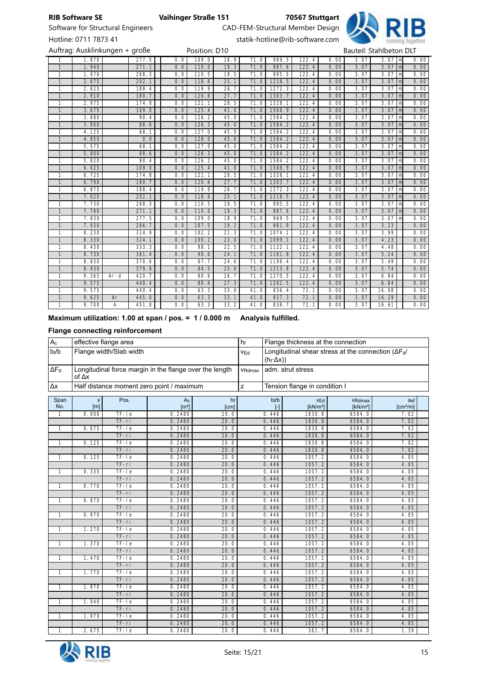

Software for Structural Engineers CAD-FEM-Structural Member Design

Hotline: 0711 7873 41 statik-hotline@rib-software.com

|                | Auftrag: Ausklinkungen + große |        |       |     | Position: D10 |      |      |                      |       |      |      | Bauteil: Stahlbeton DLT |                     |      |
|----------------|--------------------------------|--------|-------|-----|---------------|------|------|----------------------|-------|------|------|-------------------------|---------------------|------|
|                | 1.870                          |        | 277.5 | 0.0 | 109.0         | 18.9 | 71.0 | 969.5                | 122.4 | 0.00 | 3.07 | 3.07                    | m                   | 0.00 |
| $\overline{1}$ | 1.940                          |        | 271.1 | 0.0 | 110.0         | 19.3 | 71.0 | 987.6                | 122.4 | 0.00 | 3.07 | 3.07                    | $\lfloor m \rfloor$ | 0.00 |
| $\overline{1}$ | 1.970                          |        | 268.3 | 0.0 | 110.5         | 19.5 | 71.0 | 995.5                | 122.4 | 0.00 | 3.07 | $3.07$   m              |                     | 0.00 |
| $\mathbf{1}$   | 2.675                          |        | 202.1 | 0.0 | 118.6         | 25.1 | 71.0 | 1218.5               | 122.4 | 0.00 | 3.07 | 3.07                    | $\lfloor m \rfloor$ | 0.00 |
| 1              | 2.825                          |        | 188.4 | 0.0 | 119.9         | 26.7 | 71.0 | 1272.3               | 122.4 | 0.00 | 3.07 | 3.07                    | l ml                | 0.00 |
| $\mathbf{1}$   | 2.910                          |        | 180.7 | 0.0 | 120.6         | 27.7 | 71.0 | 1303.7               | 122.4 | 0.00 | 3.07 | 3.07                    | $\lfloor m \rfloor$ | 0.00 |
| 1              | 2.975                          |        | 174.8 | 0.0 | 121.1         | 28.5 | 71.0 | 1328.1               | 122.4 | 0.00 | 3.07 | 3.07                    | l ml                | 0.00 |
| $\mathbf{1}$   | 3.675                          |        | 109.0 | 0.0 | 125.4         | 41.0 | 71.0 | 1568.9               | 122.4 | 0.00 | 3.07 | 3.07                    | $\lfloor m \rfloor$ | 0.00 |
| 1              | 3.880                          |        | 90.4  | 0.0 | 126.2         | 45.0 | 71.0 | 1584.2               | 122.4 | 0.00 | 3.07 | 3.07                    | l ml                | 0.00 |
| $\mathbf{1}$   | 3.900                          |        | 88.6  | 0.0 | 126.3         | 45.0 | 71.0 | 1584.2               | 122.4 | 0.00 | 3.07 | $3.07$   m              |                     | 0.00 |
| 1              | 4.125                          |        | 68.1  | 0.0 | 127.0         | 45.0 | 71.0 | 1584.2               | 122.4 | 0.00 | 3.07 | 3.07                    | l ml                | 0.00 |
| $\mathbf{1}$   | 4.850                          |        | 0.0   | 0.0 | 128.0         | 45.0 | 71.0 | 1584.2               | 122.4 | 0.00 | 3.07 | 3.07                    | ml                  | 0.00 |
| 1              | 5.575                          |        | 68.1  | 0.0 | 127.0         | 45.0 | 71.0 | 1584.2               | 122.4 | 0.00 | 3.07 | 3.07                    | l ml                | 0.00 |
| $\mathbf{1}$   | 5.800                          |        | 88.6  | 0.0 | 126.3         | 45.0 | 71.0 | 1584.2               | 122.4 | 0.00 | 3.07 | 3.07                    | l ml                | 0.00 |
| 1              | 5.820                          |        | 90.4  | 0.0 | 126.2         | 45.0 | 71.0 | 1584.2               | 122.4 | 0.00 | 3.07 | 3.07                    | l ml                | 0.00 |
| $\mathbf{1}$   | 6.025                          |        | 109.0 | 0.0 | 125.4         | 41.0 | 71.0 | 1568.9               | 122.4 | 0.00 | 3.07 | 3.07                    | $\lfloor m \rfloor$ | 0.00 |
| 1              | 6.725                          |        | 174.8 | 0.0 | 121.1         | 28.5 | 71.0 | 1328.1               | 122.4 | 0.00 | 3.07 | 3.07                    | m                   | 0.00 |
| $\overline{1}$ | 6.790                          |        | 180.7 | 0.0 | 120.6         | 27.7 | 71.0 | 1303.7               | 122.4 | 0.00 | 3.07 | 3.07                    | $\lfloor m \rfloor$ | 0.00 |
| 1              | 6.875                          |        | 188.4 | 0.0 | 119.9         | 26.7 | 71.0 | 1272.3               | 122.4 | 0.00 | 3.07 | 3.07                    | $\lfloor m \rfloor$ | 0.00 |
| $\mathbf{1}$   | 7.025                          |        | 202.1 | 0.0 | 118.6         | 25.1 | 71.0 | 1218.5               | 122.4 | 0.00 | 3.07 | 3.07                    | l ml                | 0.00 |
| 1              | 7.730                          |        | 268.3 | 0.0 | 110.5         | 19.5 | 71.0 | 995.5                | 122.4 | 0.00 | 3.07 | 3.07                    | l ml                | 0.00 |
| $\mathbf{1}$   | 7.760                          |        | 271.1 | 0.0 | 110.0         | 19.3 | 71.0 | 987.6                | 122.4 | 0.00 | 3.07 | 3.07                    | m                   | 0.00 |
| 1              | 7.830                          |        | 277.5 | 0.0 | 109.0         | 18.9 | 71.0 | 969.5                | 122.4 | 0.00 | 3.07 | 3.07                    | m                   | 0.00 |
| $\mathbf{1}$   | 7.930                          |        | 286.7 | 0.0 | 107.5         | 19.2 | 71.0 | 981.9                | 122.4 | 0.00 | 3.07 | 3.23                    |                     | 0.00 |
| 1              | 8.230                          |        | 314.9 | 0.0 | 102.2         | 21.3 | 71.0 | 1074.1               | 122.4 | 0.00 | 3.07 | 3.99                    |                     | 0.00 |
| 1              | 8.330                          |        | 324.1 | 0.0 | 100.2         | 22.0 | 71.0 | 1099.1               | 122.4 | 0.00 | 3.07 | 4.23                    |                     | 0.00 |
| 1              | 8.430                          |        | 333.3 | 0.0 | 98.1          | 22.5 | 71.0 | $\overline{11}$ 22.1 | 122.4 | 0.00 | 3.07 | 4.48                    |                     | 0.00 |
| $\mathbf{1}$   | 8.730                          |        | 361.4 | 0.0 | 90.6          | 24.1 | 71.0 | 1181.8               | 122.4 | 0.00 | 3.07 | 5.24                    |                     | 0.00 |
| 1              | 8.830                          |        | 370.6 | 0.0 | 87.7          | 24.6 | 71.0 | 1198.4               | 122.4 | 0.00 | 3.07 | 5.49                    |                     | 0.00 |
| $\mathbf{1}$   | 8.930                          |        | 379.8 | 0.0 | 84.5          | 25.0 | 71.0 | 1213.8               | 122.4 | 0.00 | 3.07 | 5.74                    |                     | 0.00 |
| 1              | 9.365                          | $Ar-d$ | 420.7 | 0.0 | 80.6          | 26.7 | 71.0 | 1270.5               | 122.4 | 0.00 | 3.07 | 6.84                    |                     | 0.00 |
| $\mathbf{1}$   | 9.575                          |        | 440.4 | 0.0 | 80.6          | 27.3 | 71.0 | 1292.5               | 122.4 | 0.00 | 3.07 | 6.84                    |                     | 0.00 |
| 1              | 9.575                          |        | 440.4 | 0.0 | 63.3          | 33.0 | 41.0 | 836.4                | 72.1  | 0.00 | 3.07 | 16.08                   |                     | 0.00 |
| $\mathbf{1}$   | 9.625                          | Ar     | 445.0 | 0.0 | 63.3          | 33.1 | 41.0 | 837.3                | 72.1  | 0.00 | 3.07 | 16.29                   |                     | 0.00 |
| $\mathbf{1}$   | 9.700                          | A      | 451.8 | 0.0 | 63.3          | 33.2 | 41.0 | 838.7                | 72.1  | 0.00 | 3.07 | 16.61                   |                     | 0.00 |

# Maximum utilization: 1.00 at span / pos. = 1 / 0.000 m Analysis fulfilled.

# Flange connecting reinforcement

| $A_{c}$      | effective flange area |                         |                                                         |            | hf              |                  | Flange thickness at the connection |                                                            |                             |
|--------------|-----------------------|-------------------------|---------------------------------------------------------|------------|-----------------|------------------|------------------------------------|------------------------------------------------------------|-----------------------------|
| $b_f/b$      |                       | Flange width/Slab width |                                                         |            | V <sub>Ed</sub> | $(h_f \Delta x)$ |                                    | Longitudinal shear stress at the connection $(\Delta F_d)$ |                             |
| $\Delta F_d$ | of $\Delta x$         |                         | Longitudinal force margin in the flange over the length |            | VRdmax          |                  | adm. strut stress                  |                                                            |                             |
| Δх           |                       |                         | Half distance moment zero point / maximum               |            | z               |                  | Tension flange in condition I      |                                                            |                             |
| Span<br>No.  | X<br>[m]              | Pos.                    | $A_{C}$<br>$\left[\text{m}^2\right]$                    | hf<br>[cm] |                 | bf/b<br>ŀ1       | <b>VEd</b><br>[kN/m <sup>2</sup> ] | VRdmax<br>[kN/m <sup>2</sup> ]                             | asf<br>[cm <sup>2</sup> /m] |
| 1            | 0.000                 | $TF-Ie$                 | 0.2480                                                  | 20.0       |                 | 0.446            | 1830.8                             | 6584.0                                                     | 7.02                        |
|              |                       | $TF-ri$                 | 0.2480                                                  | 20.0       |                 | 0.446            | 1830.8                             | 6584.0                                                     | 7.02                        |
| $\mathbf{1}$ | 0.075                 | $TF-Ie$                 | 0.2480                                                  | 20.0       |                 | 0.446            | 1830.8                             | 6584.0                                                     | 7.02                        |
|              |                       | $TF-ri$                 | 0.2480                                                  | 20.0       |                 | 0.446            | 1830.8                             | 6584.0                                                     | 7.02                        |
| $\mathbf{1}$ | 0.125                 | $TF-Ie$                 | 0.2480                                                  | 20.0       |                 | 0.446            | 1830.8                             | 6584.0                                                     | 7.02                        |
|              |                       | TF-ri                   | 0.2480                                                  | 20.0       |                 | 0.446            | 1830.8                             | 6584.0                                                     | 7.02                        |
| $\mathbf{1}$ | 0.125                 | $TF-Ie$                 | 0.2480                                                  | 20.0       |                 | 0.446            | 1057.2                             | 6584.0                                                     | 4.05                        |
|              |                       | $TF-ri$                 | 0.2480                                                  | 20.0       |                 | 0.446            | 1057.2                             | 6584.0                                                     | 4.05                        |
| $\mathbf{1}$ | 0.335                 | $TF-Ie$                 | 0.2480                                                  | 20.0       |                 | 0.446            | 1057.2                             | 6584.0                                                     | 4.05                        |
|              |                       | $TF-ri$                 | 0.2480                                                  | 20.0       |                 | 0.446            | 1057.2                             | 6584.0                                                     | 4.05                        |
| $\mathbf{1}$ | 0.770                 | $TF-Ie$                 | 0.2480                                                  | 20.0       |                 | 0.446            | 1057.2                             | 6584.0                                                     | 4.05                        |
|              |                       | $TF-ri$                 | 0.2480                                                  | 20.0       |                 | 0.446            | 1057.2                             | 6584.0                                                     | 4.05                        |
| $\mathbf{1}$ | 0.870                 | $TF-Ie$                 | 0.2480                                                  | 20.0       |                 | 0.446            | 1057.2                             | 6584.0                                                     | 4.05                        |
|              |                       | $TF-ri$                 | 0.2480                                                  | 20.0       |                 | 0.446            | 1057.2                             | 6584.0                                                     | 4.05                        |
| $\mathbf{1}$ | 0.970                 | $TF-Ie$                 | 0.2480                                                  | 20.0       |                 | 0.446            | 1057.2                             | 6584.0                                                     | 4.05                        |
|              |                       | $TF-ri$                 | 0.2480                                                  | 20.0       |                 | 0.446            | 1057.2                             | 6584.0                                                     | 4.05                        |
| $\mathbf{1}$ | 1.270                 | $TF-Ie$                 | 0.2480                                                  | 20.0       |                 | 0.446            | 1057.2                             | 6584.0                                                     | 4.05                        |
|              |                       | $TF-ri$                 | 0.2480                                                  | 20.0       |                 | 0.446            | 1057.2                             | 6584.0                                                     | 4.05                        |
| $\mathbf{1}$ | 1.370                 | $TF-Ie$                 | 0.2480                                                  | 20.0       |                 | 0.446            | 1057.2                             | 6584.0                                                     | 4.05                        |
|              |                       | $TF-ri$                 | 0.2480                                                  | 20.0       |                 | 0.446            | 1057.2                             | 6584.0                                                     | 4.05                        |
| $\mathbf{1}$ | 1.470                 | $TF-Ie$                 | 0.2480                                                  | 20.0       |                 | 0.446            | 1057.2                             | 6584.0                                                     | 4.05                        |
|              |                       | $TF-ri$                 | 0.2480                                                  | 20.0       |                 | 0.446            | 1057.2                             | 6584.0                                                     | 4.05                        |
| $\mathbf{1}$ | 1.770                 | $TF-Ie$                 | 0.2480                                                  | 20.0       |                 | 0.446            | 1057.2                             | 6584.0                                                     | 4.05                        |
|              |                       | TF-ri                   | 0.2480                                                  | 20.0       |                 | 0.446            | 1057.2                             | 6584.0                                                     | 4.05                        |
| $\mathbf{1}$ | 1.870                 | $TF-Ie$                 | 0.2480                                                  | 20.0       |                 | 0.446            | 1057.2                             | 6584.0                                                     | 4.05                        |
|              |                       | $TF-ri$                 | 0.2480                                                  | 20.0       |                 | 0.446            | 1057.2                             | 6584.0                                                     | 4.05                        |
| $\mathbf{1}$ | 1.940                 | $TF-Ie$                 | 0.2480                                                  | 20.0       |                 | 0.446            | 1057.2                             | 6584.0                                                     | 4.05                        |
|              |                       | $TF-ri$                 | 0.2480                                                  | 20.0       |                 | 0.446            | 1057.2                             | 6584.0                                                     | 4.05                        |
| $\mathbf{1}$ | 1.970                 | $TF-Ie$                 | 0.2480                                                  | 20.0       |                 | 0.446            | 1057.2                             | 6584.0                                                     | 4.05                        |
|              |                       | $TF-ri$                 | 0.2480                                                  | 20.0       |                 | 0.446            | 1057.2                             | 6584.0                                                     | 4.05                        |
| $\mathbf{1}$ | 2.675                 | $TF-Ie$                 | 0.2480                                                  | 20.0       |                 | 0.446            | 361.7                              | 6584.0                                                     | 1.39                        |

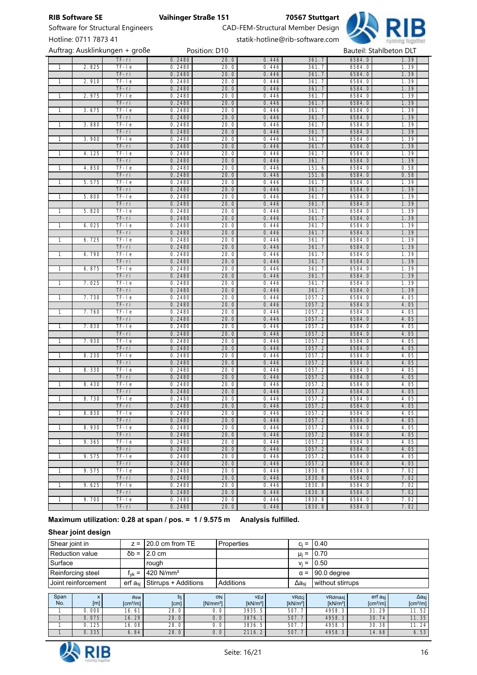

Software for Structural Engineers CAD-FEM-Structural Member Design

# Hotline: 0711 7873 41 statik-hotline@rib-software.com

|                |       | Auftrag: Ausklinkungen + große |                  | Position: D10 |                |                  | Bauteil: Stahlbeton DLT |              |
|----------------|-------|--------------------------------|------------------|---------------|----------------|------------------|-------------------------|--------------|
|                |       | $TF-ri$                        | 0.2480           | 20.0          | 0.446          | 361.7            | 6584.0                  | 1.39         |
| $\overline{1}$ | 2.825 | $TF-Ie$                        | 0.2480           | 20.0          | 0.446          | 361.7            | 6584.0                  | 1.39         |
|                |       | $TF-ri$                        | 0.2480           | 20.0          | 0.446          | 361.7            | 6584.0                  | 1.39         |
| $\overline{1}$ | 2.910 | $TF-Ie$                        | 0.2480           | 20.0          | 0.446          | 361.7            | 6584.0                  | 1.39         |
|                |       | $TF-ri$                        | 0.2480           | 20.0          | 0.446          | 361.7            | 6584.0                  | 1.39         |
| $\overline{1}$ | 2.975 | $TF-Ie$                        | 0.2480           | 20.0          | 0.446          | 361.7            | 6584.0                  | 1.39         |
|                |       | $TF-ri$                        | 0.2480           | 20.0          | 0.446          | 361.7            | 6584.0                  | 1.39         |
| $\mathbf{1}$   | 3.675 | $TF-Ie$                        | 0.2480           | 20.0          | 0.446          | 361.7            | 6584.0                  | 1.39         |
|                |       | $TF-ri$                        | 0.2480           | 20.0          | 0.446          | 361.7            | 6584.0                  | 1.39         |
| $\overline{1}$ | 3.880 | $TF-Ie$                        | 0.2480           | 20.0          | 0.446          | 361.7            | 6584.0                  | 1.39         |
|                |       | $TF-ri$                        | 0.2480           | 20.0          | 0.446          | 361.7            | 6584.0                  | 1.39         |
| $\overline{1}$ | 3.900 | $TF-Ie$                        | 0.2480           | 20.0          | 0.446          | 361.7            | 6584.0                  | 1.39         |
|                |       | $TF-ri$                        | 0.2480           | 20.0          | 0.446          | 361.7            | 6584.0                  | 1.39         |
| 1              | 4.125 | $TF-Ie$                        | 0.2480           | 20.0          | 0.446          | 361.7            | 6584.0                  | 1.39         |
|                |       | $TF-ri$                        | 0.2480           | 20.0          | 0.446          | 361.7            | 6584.0                  | 1.39         |
| 1              | 4.850 | $TF-Ie$                        | 0.2480           | 20.0          | 0.446          | 151.6            | 6584.0                  | 0.58         |
|                |       | $TF-ri$                        | 0.2480           | 20.0          | 0.446          | 151.6            | 6584.0                  | 0.58         |
| $\overline{1}$ | 5.575 | $TF-Ie$                        | 0.2480           | 20.0          | 0.446          | 361.7            | 6584.0                  | 1.39         |
|                |       | $TF-ri$                        | 0.2480           | 20.0          | 0.446          | 361.7            | 6584.0                  | 1.39         |
| 1              | 5.800 | $TF-Ie$                        | 0.2480           | 20.0          | 0.446          | 361.7            | 6584.0                  | 1.39         |
|                |       | TF-ri                          | 0.2480           | 20.0          | 0.446          | 361.7            | 6584.0                  | 1.39         |
| $\mathbf{1}$   | 5.820 | $TF-Ie$                        | 0.2480           | 20.0          | 0.446          | 361.7            | 6584.0                  | 1.39         |
|                |       | $TF-ri$                        | 0.2480           | 20.0          | 0.446          | 361.7            | 6584.0                  | 1.39         |
| $\mathbf{1}$   | 6.025 | $TF-Ie$                        | 0.2480           | 20.0          | 0.446          | 361.7            | 6584.0                  | 1.39         |
|                |       | $TF-ri$                        | 0.2480           | 20.0          | 0.446          | 361.7            | 6584.0                  | 1.39         |
| $\mathbf{1}$   | 6.725 | $TF-Ie$                        | 0.2480           | 20.0          | 0.446          | 361.7            | 6584.0                  | 1.39         |
|                |       | $TF-ri$                        | 0.2480           | 20.0          | 0.446          | 361.7            | 6584.0                  | 1.39         |
| $\mathbf{1}$   | 6.790 | $TF-Ie$                        | 0.2480           | 20.0          | 0.446          | 361.7            | 6584.0                  | 1.39         |
|                |       | TF-ri                          | 0.2480           | 20.0          | 0.446          | 361.7            | 6584.0                  | 1.39         |
| $\mathbf{1}$   | 6.875 | $TF-Ie$                        | 0.2480           | 20.0          | 0.446          | 361.7            | 6584.0                  | 1.39         |
|                |       | $TF-ri$                        | 0.2480           | 20.0          | 0.446          | 361.7            | 6584.0                  | 1.39         |
| $\mathbf{1}$   | 7.025 | $TF-Ie$                        | 0.2480           | 20.0          | 0.446          | 361.7            | 6584.0                  | 1.39         |
|                |       | TF-ri                          | 0.2480           | 20.0          | 0.446          | 361.7            | 6584.0                  | 1.39         |
| 1              | 7.730 | $TF-Ie$                        | 0.2480           | 20.0          | 0.446          | 1057.2           | 6584.0                  | 4.05         |
|                |       | $TF-ri$                        | 0.2480           | 20.0          | 0.446          | 1057.2           | 6584.0                  | 4.05         |
| 1              | 7.760 | $TF-Ie$<br>$TF-ri$             | 0.2480<br>0.2480 | 20.0<br>20.0  | 0.446<br>0.446 | 1057.2<br>1057.2 | 6584.0<br>6584.0        | 4.05         |
| $\mathbf{1}$   | 7.830 | $TF-Ie$                        | 0.2480           | 20.0          | 0.446          | 1057.2           | 6584.0                  | 4.05<br>4.05 |
|                |       | $TF-ri$                        | 0.2480           | 20.0          | 0.446          | 1057.2           | 6584.0                  | 4.05         |
| $\mathbf{1}$   | 7.930 | $TF-Ie$                        | 0.2480           | 20.0          | 0.446          | 1057.2           | 6584.0                  | 4.05         |
|                |       | TF-ri                          | 0.2480           | 20.0          | 0.446          | 1057.2           | 6584.0                  | 4.05         |
| $\mathbf{1}$   | 8.230 | $TF-Ie$                        | 0.2480           | 20.0          | 0.446          | 1057.2           | 6584.0                  | 4.05         |
|                |       | $TF-ri$                        | 0.2480           | 20.0          | 0.446          | 1057.2           | 6584.0                  | 4.05         |
| 1              | 8.330 | $TF-Ie$                        | 0.2480           | 20.0          | 0.446          | 1057.2           | 6584.0                  | 4.05         |
|                |       | $TF-ri$                        | 0.2480           | 20.0          | 0.446          | 1057.2           | 6584.0                  | 4.05         |
| $\overline{1}$ | 8.430 | $TF-Ie$                        | 0.2480           | 20.0          | 0.446          | 1057.2           | 6584.0                  | 4.05         |
|                |       | $TF-ri$                        | 0.2480           | 20.0          | 0.446          | 1057.2           | 6584.0                  | 4.05         |
| $\mathbf{1}$   | 8.730 | $TF-Ie$                        | 0.2480           | 20.0          | 0.446          | 1057.2           | 6584.0                  | 4.05         |
|                |       | $TF-ri$                        | 0.2480           | 20.0          | 0.446          | 1057.2           | 6584.0                  | 4.05         |
| $\mathbf{1}$   | 8.830 | $TF-Ie$                        | 0.2480           | 20.0          | 0.446          | 1057.2           | 6584.0                  | 4.05         |
|                |       | $TF-ri$                        | 0.2480           | 20.0          | 0.446          | 1057.2           | 6584.0                  | 4.05         |
| $\overline{1}$ | 8.930 | $TF-Ie$                        | 0.2480           | 20.0          | 0.446          | 1057.2           | 6584.0                  | 4.05         |
|                |       | $TF-ri$                        | 0.2480           | 20.0          | 0.446          | 1057.2           | 6584.0                  | 4.05         |
| $\mathbf{1}$   | 9.365 | $TF-Ie$                        | 0.2480           | 20.0          | 0.446          | 1057.2           | 6584.0                  | 4.05         |
|                |       | $TF-ri$                        | 0.2480           | 20.0          | 0.446          | 1057.2           | 6584.0                  | 4.05         |

Maximum utilization: 0.28 at span / pos. = 1 / 9.575 m Analysis fulfilled.

# Shear joint design

| Shear joint in      | $z = 120.0$ cm from TE               | l Properties |              | $c_i = 10.40$          |
|---------------------|--------------------------------------|--------------|--------------|------------------------|
| Reduction value     | $\delta b = 12.0 \text{ cm}$         |              |              | $\mu_i = 0.70$         |
| Surface             | rough                                |              |              | $v_i = 10.50$          |
| Reinforcing steel   | $f_{\text{vk}} = 420 \text{ N/mm}^2$ |              |              | $\alpha = 90.0$ degree |
| Joint reinforcement | erf $a_{si}$ Stirrups + Additions    | Additions    | $\Delta$ asi | without stirrups       |

1 9.575 TF-le 0.2480 20.0 0.446 1057.2 6584.0 4.05

1 9.575 TF-le 0.2480 20.0 0.446 1830.8 6584.0 7.02

1 9.625 TF-le 0.2480 20.0 0.446 1830.8 6584.0 7.02

1 9.700 TF-le 0.2480 20.0 0.446 1830.8 6584.0 7.02

TF-ri 0.2480 20.0 0.446 1057.2 6584.0 4.05

TF-ri 0.2480 20.0 0.446 1830.8 6584.0 7.02

TF-ri 0.2480 20.0 0.446 1830.8 6584.0 7.02

TF-ri 0.2480 20.0 0.446 1830.8 6584.0 7.02

| Span<br>No. | [m]              | a <sub>sw</sub><br>$\lceil$ cm <sup>2</sup> /m $\rceil$ | bi<br>[cm] | $\sigma$ <sub>N</sub><br>$[N/mm^2]$ | VEd <sub>1</sub><br>[kN/m <sup>2</sup> ] | VRdcj<br>[kN/m <sup>2</sup> ] | VRdmaxi<br>[kN/m <sup>2</sup> ] | erf a <sub>si</sub><br>[cm <sup>2</sup> /m] | ∆a <sub>si</sub><br>[cm <sup>2</sup> /m] |
|-------------|------------------|---------------------------------------------------------|------------|-------------------------------------|------------------------------------------|-------------------------------|---------------------------------|---------------------------------------------|------------------------------------------|
|             | 0.000            | 16. 61                                                  | 28.0       | 0.0'                                | 3935.5                                   | 507.                          | 4958.3'                         | .29 <sup>1</sup><br>31                      | 11.52                                    |
|             | 0.075            | 16.29                                                   | 28.0       | 0.0                                 | 3876.                                    | 507.                          | 4958.3                          | 30.74                                       | 11.35                                    |
|             | 125 <sub>1</sub> | 16.08                                                   | 28.0       | J.0'                                | 3836.5                                   | 507.                          | 4958.3                          | 30.38                                       | . 24                                     |
|             | .335             | 6.84                                                    | 28.0       | 0. 0                                | 2116.2                                   | 507.                          | 4958.3                          | 14.68                                       | 6.53                                     |

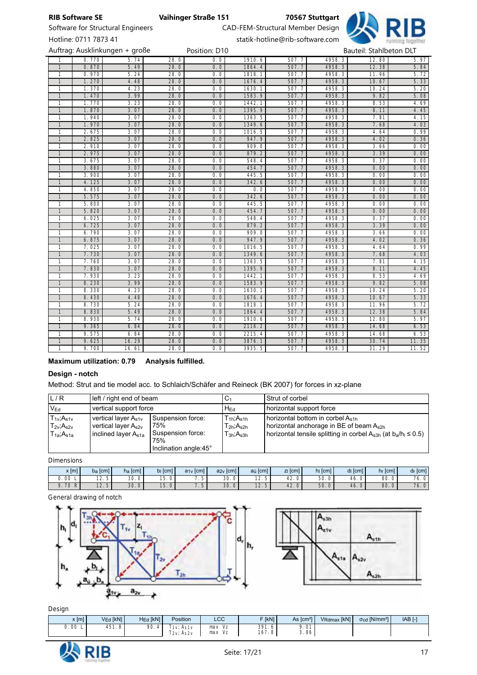



|              | Hotline: 0711 7873 41 |                                |      |               |        | statik-hotline@rib-software.com |        |                         | running together |
|--------------|-----------------------|--------------------------------|------|---------------|--------|---------------------------------|--------|-------------------------|------------------|
|              |                       | Auftrag: Ausklinkungen + große |      | Position: D10 |        |                                 |        | Bauteil: Stahlbeton DLT |                  |
|              | 0.770                 | 5.74                           | 28.0 | 0.0           | 1910.6 | 507.7                           | 4958.3 | 12.80                   | 5.97             |
| $\mathbf{1}$ | 0.870                 | 5.49                           | 28.0 | 0.0           | 1864.4 | 507.7                           | 4958.3 | 12.38                   | 5.84             |
| 1            | 0.970                 | 5.24                           | 28.0 | 0.0           | 1818.1 | 507.7                           | 4958.3 | 11.96                   | 5.72             |
| $\mathbf{1}$ | 1.270                 | 4.48                           | 28.0 | 0.0           | 1676.4 | 507.7                           | 4958.3 | 10.67                   | 5.33             |
| 1            | 1.370                 | 4.23                           | 28.0 | 0.0           | 1630.1 | 507.7                           | 4958.3 | 10.24                   | 5.20             |
| $\mathbf{1}$ | 1.470                 | 3.99                           | 28.0 | 0.0           | 1583.9 | 507.7                           | 4958.3 | 9.82                    | 5.08             |
| 1            | 1.770                 | 3.23                           | 28.0 | 0.0           | 1442.1 | 507.7                           | 4958.3 | 8.53                    | 4.69             |
| $\mathbf{1}$ | 1.870                 | 3.07                           | 28.0 | 0.0           | 1395.9 | 507.7                           | 4958.3 | 8.11                    | 4.45             |
| 1            | 1.940                 | 3.07                           | 28.0 | 0.0           | 1363.5 | 507.7                           | 4958.3 | 7.81                    | 4.15             |
| $\mathbf{1}$ | 1.970                 | 3.07                           | 28.0 | 0.0           | 1349.6 | 507.7                           | 4958.3 | 7.68                    | 4.03             |
| $\mathbf{1}$ | 2.675                 | 3.07                           | 28.0 | 0.0           | 1016.5 | 507.7                           | 4958.3 | 4.64                    | 0.99             |
| $\mathbf{1}$ | 2.825                 | 3.07                           | 28.0 | 0.0           | 947.9  | 507.7                           | 4958.3 | 4.02                    | 0.36             |
| 1            | 2.910                 | 3.07                           | 28.0 | 0.0           | 909.0  | 507.7                           | 4958.3 | 3.66                    | 0.00             |
| $\mathbf{1}$ | 2.975                 | 3.07                           | 28.0 | 0.0           | 879.2  | 507.7                           | 4958.3 | 3.39                    | 0.00             |
| 1            | 3.675                 | 3.07                           | 28.0 | 0.0           | 548.4  | 507.7                           | 4958.3 | 0.37                    | 0.00             |
| $\mathbf{1}$ | 3.880                 | 3.07                           | 28.0 | 0.0           | 454.7  | 507.7                           | 4958.3 | 0.00                    | 0.00             |
| 1            | 3.900                 | 3.07                           | 28.0 | 0.0           | 445.5  | 507.7                           | 4958.3 | 0.00                    | 0.00             |
| $\mathbf{1}$ | 4.125                 | 3.07                           | 28.0 | 0.0           | 342.6  | 507.7                           | 4958.3 | 0.00                    | 0.00             |
| 1            | 4.850                 | 3.07                           | 28.0 | 0.0           | 0.0    | 507.7                           | 4958.3 | 0.00                    | 0.00             |
| $\mathbf{1}$ | 5.575                 | 3.07                           | 28.0 | 0.0           | 342.6  | 507.7                           | 4958.3 | 0.00                    | 0.00             |
| 1            | 5.800                 | 3.07                           | 28.0 | 0.0           | 445.5  | 507.7                           | 4958.3 | 0.00                    | 0.00             |
| $\mathbf{1}$ | 5.820                 | 3.07                           | 28.0 | 0.0           | 454.7  | 507.7                           | 4958.3 | 0.00                    | 0.00             |
| 1            | 6.025                 | 3.07                           | 28.0 | 0.0           | 548.4  | 507.7                           | 4958.3 | 0.37                    | 0.00             |
| $\mathbf{1}$ | 6.725                 | 3.07                           | 28.0 | 0.0           | 879.2  | 507.7                           | 4958.3 | 3.39                    | 0.00             |
| 1            | 6.790                 | 3.07                           | 28.0 | 0.0           | 909.0  | 507.7                           | 4958.3 | 3.66                    | 0.00             |
| $\mathbf{1}$ | 6.875                 | 3.07                           | 28.0 | 0.0           | 947.9  | 507.7                           | 4958.3 | 4.02                    | 0.36             |

 7.025 3.07 28.0 0.0 1016.5 507.7 4958.3 4.64 0.99 7.730 3.07 28.0 0.0 1349.6 507.7 4958.3 7.68 4.03 7.760 3.07 28.0 0.0 1363.5 507.7 4958.3 7.81 4.15 7.830 3.07 28.0 0.0 1395.9 507.7 4958.3 8.11 4.45 7.930 3.23 28.0 0.0 1442.1 507.7 4958.3 8.53 4.69 8.230 3.99 28.0 0.0 1583.9 507.7 4958.3 9.82 5.08 8.330 4.23 28.0 0.0 1630.1 507.7 4958.3 10.24 5.20 8.430 4.48 28.0 0.0 1676.4 507.7 4958.3 10.67 5.33 8.730 5.24 28.0 0.0 1818.1 507.7 4958.3 11.96 5.72 8.830 5.49 28.0 0.0 1864.4 507.7 4958.3 12.38 5.84 8.930 5.74 28.0 0.0 1910.6 507.7 4958.3 12.80 5.97 9.365 6.84 28.0 0.0 2116.2 507.7 4958.3 14.68 6.53 9.575 6.84 28.0 0.0 2215.4 507.7 4958.3 14.68 6.53 9.625 16.29 28.0 0.0 3876.1 507.7 4958.3 30.74 11.35 1 | 9.700 | 16.61 | 28.0 | 0.0 | 3935.5 | 507.7 | 4958.3 | 31.29 | 11.52

### Maximum utilization: 0.79 Analysis fulfilled.

### Design - notch

Method: Strut and tie model acc. to Schlaich/Schäfer and Reineck (BK 2007) for forces in xz-plane

| L/R                                                                                                                  | left / right end of beam                                                     |                                                                               | C <sub>1</sub>                                                       | Strut of corbel                                                                                                                                                                                     |
|----------------------------------------------------------------------------------------------------------------------|------------------------------------------------------------------------------|-------------------------------------------------------------------------------|----------------------------------------------------------------------|-----------------------------------------------------------------------------------------------------------------------------------------------------------------------------------------------------|
| V <sub>Ed</sub>                                                                                                      | vertical support force                                                       |                                                                               | $H_{\sf Ed}$                                                         | horizontal support force                                                                                                                                                                            |
| $T_{1v}$ ; $A_{s1v}$<br>$T_{2v}$ ; $A_{s2v}$<br>$\mathsf{T}_{1\mathsf{a}}\text{;}\mathsf{A}_{\mathsf{s}1\mathsf{a}}$ | vertical layer $A_{s1v}$<br>vertical layer $A_{s2v}$<br>inclined layer Astal | Suspension force:<br>75%<br>Suspension force:<br>75%<br>Inclination angle:45° | $T_{1h}$ ; $A_{s1h}$<br>$T_{2h}$ ; $A_{s2h}$<br>$T_{3h}$ ; $A_{s3h}$ | horizontal bottom in corbel As <sub>1h</sub><br>horizontal anchorage in BE of beam $A_{s2h}$<br>  horizontal tensile splitting in corbel A <sub>s3h</sub> (at b <sub>a</sub> /h <sub>l</sub> ≤ 0.5) |

*Dimensions*

| $x$ [m]                                           | $b_a$ [cm]      | $h_a$ [cm]      | $b$ <sub>[cm]</sub>          | $a_{1v}$ [cm]   | $a_{2v}$ [cm]        | a <sub>ü</sub> [cm]         | zi fcml       | $h$ <sub>[cm]</sub>   | di lcm1             | $h_r$ [cm]     | $d_{r}$ [cm]                         |
|---------------------------------------------------|-----------------|-----------------|------------------------------|-----------------|----------------------|-----------------------------|---------------|-----------------------|---------------------|----------------|--------------------------------------|
| 00<br>U.<br>-                                     | $\sim$<br>ں ، ے | $\Omega$<br>JU. | $-$<br>$\sim$<br>◡<br>$\sim$ | . ب             | 30.<br>$\sim$<br>U   | $\sim$<br>. <u>.</u> .<br>ັ | $\sim$<br>42. | 50.<br>$\circ$        | $\sim$<br>-46.<br>◡ | 80.0<br>$\sim$ | $\overline{\phantom{a}}$<br>76.<br>ັ |
| $\overline{\phantom{a}}$<br>$\sim$<br>R<br>$\cup$ | $\sim$<br>2. J  | 30.<br>U        | 15.<br>ັບ                    | .5 <sub>1</sub> | 30.<br>$\Omega$<br>◡ | $\sim$<br>$\lambda$         | 42.           | 50.<br>$\overline{0}$ | 46.                 | 80.0           | 76.<br>ັ                             |

### *General drawing of notch*





### *Design*

| $x$ [m] | $V_{Ed}$ [kN] $ $ | $H_{Ed}$ [kN] | <b>Position</b>              | $\sim$<br>レマン          | F [kN]         | As $\text{cm}^{21}$ | VRdmax [kN] | $\sigma_{\text{cd}}$ [N/mm <sup>2</sup> ] | $IAB$ [-] |
|---------|-------------------|---------------|------------------------------|------------------------|----------------|---------------------|-------------|-------------------------------------------|-----------|
| 0.00 L  | 451.8             | 90.<br>4      | As 1 v<br>1v<br>2v<br>, As2v | Vz<br>max<br>max<br>Vz | 391.6<br>167.8 | (0.01)<br>O<br>3.86 |             |                                           |           |

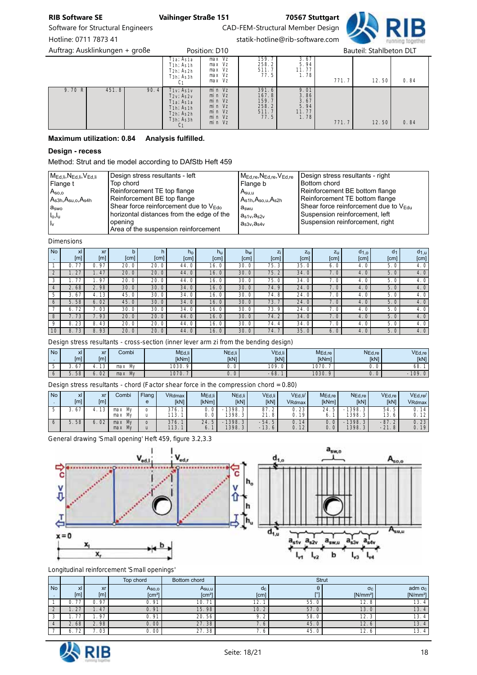

Software for Structural Engineers CAD-FEM-Structural Member Design Hotline: 0711 7873 41 statik-hotline@rib-software.com

Auftrag: Ausklinkungen + große Position: D10 Bauteil: Stahlbeton DLT

|                         | T1a; As1a<br>$T1h$ ; As $1h$<br>T2h; As2h<br>T3h; As3h<br>C <sub>1</sub>                                                                                          | max Vz<br>max Vz<br>max Vz<br>max Vz<br>max Vz                     | 159.7<br>258.2<br>511.7<br>77.5                                                   | 3.67<br>5.94<br>11.77<br>1.78                                                                | 771.7 | 12.50 | 0.84 |
|-------------------------|-------------------------------------------------------------------------------------------------------------------------------------------------------------------|--------------------------------------------------------------------|-----------------------------------------------------------------------------------|----------------------------------------------------------------------------------------------|-------|-------|------|
| 90.4<br>9.70 R<br>451.8 | $T1$ ; $AS1$<br>$T_{2V}$ ; $A_{S2V}$<br>T1a; As1a<br>$T1h$ ; As <sub>1h</sub><br>$T2h$ ; As <sub>2h</sub><br>T <sub>3h</sub> ; A <sub>s3h</sub><br>C <sub>1</sub> | min Vz<br>min Vz<br>min Vz<br>min Vz<br>min Vz<br>min Vz<br>min Vz | $\begin{bmatrix} 391.6 \\ 167.8 \end{bmatrix}$<br>159.7<br>258.2<br>511.7<br>77.5 | $\frac{9.01}{3.86}$<br>3.86<br>3.67<br>$\begin{bmatrix} 5.94 \\ 11.77 \end{bmatrix}$<br>1.78 | 771.7 | 12.50 | 0.84 |

### Maximum utilization: 0.84 Analysis fulfilled.

### Design - recess

Method: Strut and tie model according to DAfStb Heft 459

| MEd.li, NEd.li, VEd.li | Design stress resultants - left                   | $M_{Ed,re}, N_{Ed,re}, V_{Ed,re}$ | Design stress resultants - right                  |
|------------------------|---------------------------------------------------|-----------------------------------|---------------------------------------------------|
| Flange t               | Top chord                                         | Flange b                          | Bottom chord                                      |
| A <sub>SO,0</sub>      | Reinforcement TE top flange                       | A <sub>su.u</sub>                 | Reinforcement BE bottom flange                    |
| $As3h, Asu,o, As4h$    | Reinforcement BE top flange                       | As1h,Aso.u,As2h                   | Reinforcement TE bottom flange                    |
| $a_{\rm swo}$          | Shear force reinforcement due to V <sub>Edo</sub> | $a_{swu}$                         | Shear force reinforcement due to $V_{\text{Edu}}$ |
| $I_0, I_u$             | horizontal distances from the edge of the         | $a_{s1v}, a_{s2v}$                | Suspension reinforcement, left                    |
| Ιv                     | opening<br>Area of the suspension reinforcement   | $a_{s3v}, a_{s4v}$                | Suspension reinforcement, right                   |

*Dimensions*

| <b>No</b>      | x <sub>l</sub> | xr   |      | n    | $h_{\Omega}$ | $h_{\rm U}$ | bw   | Zi   | Z <sub>O</sub> | $Z_{\rm U}$                    | d <sub>1,o</sub> | d <sub>1</sub> | $d_{1,u}$ |
|----------------|----------------|------|------|------|--------------|-------------|------|------|----------------|--------------------------------|------------------|----------------|-----------|
| $\sim$         | [m]            | [m]  | [cm] | [cm] | [cm]         | [cm]        | [cm] | [cm] | [cm]           | $\left[ \text{cm}\right] \mid$ | [cm]             | [cm]           | [cm]      |
|                | 77<br>0.       | 0.97 | 20.0 | 20.0 | 44.0         | 16.0        | 30.0 | 75.3 | 35.0           | 6. 0                           | 4.0              | 5.0            | 4.0       |
| 2              | 1.27           | 1.47 | 20.0 | 20.0 | 44.0         | 16.0        | 30.0 | 75.2 | 34.0           | 7.0                            | 4.0              | 5.0            | 4.0       |
| 3              | .77            | 1.97 | 20.0 | 20.0 | 44.0         | 16.0        | 30.0 | 75.0 | 34.0           | 7.0                            | 4.0              | 5.0            | 4.0       |
| $\overline{4}$ | 2.68           | 2.98 | 30.0 | 30.0 | 34.0         | 16.0        | 30.0 | 74.9 | 24.0           | 7.0                            | 4.0              | 5.0            | 4.0       |
| 5              | 3.67           | 4.13 | 45.0 | 30.0 | 34.0         | 16.0        | 30.0 | 74.8 | 24.0           | 7.0                            | 4.0              | 5.0            | 4.0       |
| 6              | 5.58           | 6.02 | 45.0 | 30.0 | 34.0         | 16.0        | 30.0 | 73.7 | 24.0           | 7.0                            | 4.0              | 5.0            | 4.0       |
|                | 72<br>6.       | 7.03 | 30.0 | 30.0 | 34.0         | 16.0        | 30.0 | 73.9 | 24.0           | 7.0                            | 4.0              | 5.0            | 4.0       |
| 8              | 1.73           | 7.93 | 20.0 | 20.0 | 44.0         | 16.0        | 30.0 | 74.2 | 34.0           | 7.0                            | 4.0              | 5.0            | 4.0       |
| 9              | 8.23           | 8.43 | 20.0 | 20.0 | 44.0         | 16.0        | 30.0 | 74.4 | 34.0           | 7.0                            | 4.0              | 5.0            | 4.0       |
| 10             | 8.73           | 8.93 | 20.0 | 20.0 | 44.0         | 16.0        | 30.0 | 74.7 | 35.0           | 6.0                            | 4.0              | 5.0            | 4.0       |

*Design stress resultants - cross-section (inner lever arm zi from the bending design)*

| <b>No</b> | v.<br>ΔL<br>[ <sub>m</sub> ] | Xr<br>[m]           | Combi     | MEd, li<br><b>IkNml</b> | NEd, li<br><b>IKN1</b> | VEd,li<br><b>IkN1</b> | MEd,re<br><b>IkNml</b> | N <sub>Ed,re</sub><br><b>IkN1</b> | VEd,re<br>[kN] |
|-----------|------------------------------|---------------------|-----------|-------------------------|------------------------|-----------------------|------------------------|-----------------------------------|----------------|
|           | . .<br>$\sigma$<br>ັ         | $\sim$<br>ل ا       | Mv<br>max | 1030.                   | U.                     | 09.                   | 1070.                  | U.                                | 68.            |
|           | 58                           | $\sim$<br>ь.<br>UZ. | Mv<br>max | 1070.                   | 0. 0                   | 60<br>$-00.$          | 1030.<br>$\Omega$      | v. v                              | 109            |

*Design stress resultants - chord (Factor shear force in the compression chord = 0.80)*

| <b>No</b> | xI  | xr      | Combi     | Flang | VRdmax      | M <sub>Ed.li</sub> | N <sub>Ed,li</sub> | VEd, li   | $VEd$ .li $/$         | M <sub>Ed,re</sub> | NEd,re                | $VEd_re$    | $V_{Ed,re}/$ |
|-----------|-----|---------|-----------|-------|-------------|--------------------|--------------------|-----------|-----------------------|--------------------|-----------------------|-------------|--------------|
|           | [m] | $[m]_1$ |           |       | <b>IkN1</b> | <b>IkNml</b>       | [kN]               | [kN]      | VRdmax                | <b>IkNml</b>       | [kN]                  | [kN]        | VRdmax       |
|           |     | 3       | max<br>Mv |       | 376.        | 0. 0               | 1398.3             | 87<br>2   | 23<br>U.              | 24                 | 1398.                 | 54.5<br>ь.  | 14           |
|           |     |         | max<br>Mv |       | 113.        | 0. 0               | 1398.3             | 21<br>. 8 | 19 <sub>1</sub>       |                    | 1398.                 | 13.<br>6    | 12           |
|           | 58  | 02      | Mv<br>max |       | 376.        | 24<br>片            | 1398.3             | $-54.5$   | 14<br>$\mathsf{O}$ .  |                    | 1398.<br>3            | $-87.$      | 0.23         |
|           |     |         | max<br>Mv |       | 113.        | 6.                 | 1398.3             | $-13.6$   | 12 <sub>1</sub><br>0. | $\circ$            | 1398.<br>$\mathbf{c}$ | $-21.$<br>8 | 0.19         |

*General drawing 'Small opening' Heft 459, figure 3.2,3.3*





*Longitudinal reinforcement 'Small openings'*

|              |          |                       | Top chord          | Bottom chord     |               |            | <b>Strut</b> |                      |  |  |
|--------------|----------|-----------------------|--------------------|------------------|---------------|------------|--------------|----------------------|--|--|
| <b>No</b>    | xl       | xr                    | A <sub>SO,0</sub>  | Asu,u            | $\alpha_c$    | <b>FOT</b> | $\sigma_c$   | adm $\sigma_c$       |  |  |
| $\mathbf{r}$ | [m]      | [m]                   | [cm <sup>2</sup> ] | $\text{[cm}^{2}$ | [cm]          |            | $[N/mm^2]$   | [N/mm <sup>2</sup> ] |  |  |
|              | フフ       | n 97                  | 0.91               | 10.              | $\sim$<br>12. | 55.0       | 12.8         | 13.4                 |  |  |
|              | $\cap$   | 47                    | 0.91               | 15.98            | 10.           | 57.0       | 13.0         | 13.4                 |  |  |
|              |          | 97                    | 0.91               | 20.56            | o<br>7. Z     | 58.0       | 12.3         | 13.4                 |  |  |
|              | 2.68     | . 98<br>$\mathcal{D}$ | 0.00               | 27.38            | -<br>1.6      | 45.0       | 12.6         | 13.4                 |  |  |
|              | 72<br>O. | 03                    | 0.00               | 27.38            | '. O          | 45.0       | 12.6         | 13.4                 |  |  |

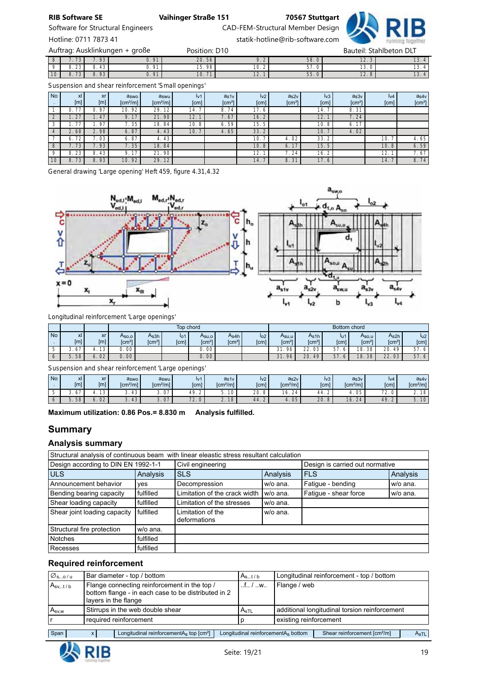

Software for Structural Engineers CAD-FEM-Structural Member Design

Hotline: 0711 7873 41 statik-hotline@rib-software.com

 7.73 7.93 0.91 20.56 9.2 58.0 12.3 13.4 8.23 8.43 0.91 15.98 10.2 57.0 13.0 13.4 8.73 8.93 0.91 10.71 12.1 55.0 12.8 13.4 Auftrag: Ausklinkungen + große eine Position: D10 Bauteil: Stahlbeton DLT

*Suspension and shear reinforcement 'Small openings'*

| <b>No</b><br>. . | x <sub>l</sub><br>[m] | xr<br>[m] | aswo<br>[cm <sup>2</sup> /m] | aswu<br>$\lceil$ cm <sup>2</sup> /m] $\lceil$ | Iv1<br>[cm] | a <sub>s1v</sub><br>[cm <sup>2</sup> ] | $\mathsf{I}_\mathsf{V2}$<br>[cm] | a <sub>s2v</sub><br>[cm <sup>2</sup> ] | Iv3<br>[cm]     | a <sub>s3v</sub><br>[cm <sup>2</sup> ] | $I_{V}4$<br>[cm] | a <sub>s4v</sub><br>[cm <sup>2</sup> ] |
|------------------|-----------------------|-----------|------------------------------|-----------------------------------------------|-------------|----------------------------------------|----------------------------------|----------------------------------------|-----------------|----------------------------------------|------------------|----------------------------------------|
|                  | 77                    | 97        | 92<br>10.                    | 29.12                                         | 14.         | 74<br>8.                               | 17.6                             |                                        | 14.             | 8.31                                   |                  |                                        |
| 2                | 27                    | .47       | 9.17                         | 21.90                                         | 12.         | 1.67                                   | 16.2                             |                                        | 12.<br>$-1$     | 7.24'                                  |                  |                                        |
| 3                | 77                    | . . 97    | 7.35                         | 18.84                                         | 10.8        | . 59<br>6.                             | 15.5                             |                                        | 10.8            | 17<br>6.                               |                  |                                        |
| $\overline{4}$   | 2.68                  | 2.98      | 6.87                         | 4.43                                          | 10.         | 65<br>4.                               | 33.2                             |                                        | 10.7            | 4.02                                   |                  |                                        |
|                  | 72<br>O               | 03        | 6.87                         | 4.43                                          |             |                                        | 10.7                             | 4.02                                   | 33.<br>$\Omega$ |                                        | 10.              | 4.65                                   |
| 8                | 73                    | .93       | 7.35                         | 18.84                                         |             |                                        | 10.8                             | 6.17                                   | 15.5            |                                        | 10.8             | 6.59                                   |
| $\Omega$         | 23<br>8               | 43<br>8.  | 9.17                         | 21.90                                         |             |                                        | 12.                              | 7.24                                   | 16.             |                                        | 12.              | 7.67                                   |
| 10 <sup>°</sup>  | 73<br>8.              | 93<br>8.  | 10.92                        | 29.12                                         |             |                                        | 14.7                             | 8.31                                   | 17.6            |                                        | 14.              | 8.74                                   |

*General drawing 'Large opening' Heft 459, figure 4.31,4.32*



*Longitudinal reinforcement 'Large openings'*

|           |                |                      | Top chord          |               |          |               |                |                  | Bottom chord       |                    |                                    |                    |                    |                 |
|-----------|----------------|----------------------|--------------------|---------------|----------|---------------|----------------|------------------|--------------------|--------------------|------------------------------------|--------------------|--------------------|-----------------|
| <b>No</b> | xI             | <b>xr</b>            | Aso.o I            | As3h          | $I_{O}1$ | Asu.ol        | As4h           | log <sub>2</sub> | Asu,u              | As1h               | lu1                                | Aso.u              | As2h               | lu <sub>2</sub> |
|           | [m]            | [m]                  | [cm <sup>2</sup> ] | $\text{cm}^2$ | [cm]     | $\text{cm}^2$ | $\text{[cm}^2$ | [cm]             | [cm <sup>2</sup> ] | [cm <sup>2</sup> ] | $\lceil \mathsf{cm} \rceil \rceil$ | [cm <sup>2</sup> ] | [cm <sup>2</sup> ] | [cm]            |
|           | 67<br><u>.</u> | 13 <sub>1</sub>      | 00 <sup>1</sup>    |               |          | 00            |                |                  | 31<br>96           | 22.03<br>$\sim$    | 57                                 | 18.38              | 20<br>49           | 57.             |
| O         | 58<br>5<br>J.  | 02<br>$\mathbf{b}$ . | 00 <sub>1</sub>    |               |          | 0.00 !        |                |                  | 96<br>31.          | 20.<br>49          | 57<br>6                            | 18.<br>38          | 22.<br>03          | 57.6            |

*Suspension and shear reinforcement 'Large openings'*

| <b>No</b> | xl               | $\mathbf{v}$ r<br>AL. | aswo                  | a <sub>swu</sub>         | Iv1                           | as1v                 | iv <sub>2</sub> | a <sub>s2v</sub>        | lv3  | a <sub>s3v</sub>                                    | Iv4                           | a <sub>s4v</sub>        |
|-----------|------------------|-----------------------|-----------------------|--------------------------|-------------------------------|----------------------|-----------------|-------------------------|------|-----------------------------------------------------|-------------------------------|-------------------------|
|           | [ <sub>m</sub> ] | [ <sub>m</sub> ]      | [cm <sup>2</sup> /ml] | $\text{[cm}^2/\text{ml}$ | [cm]                          | [cm <sup>2</sup> /m] | [cm]            | [cm <sup>2</sup> /ml]   | [cm] | fcm <sup>2</sup> /m1                                | <b>Scm</b>                    | $\text{[cm}^2/\text{m}$ |
| J         | -<br><u>.</u>    | $\sim$<br>ٮ           | 43<br>J.              | $\bigcap$<br>J. U        | 49.                           | $\sim$<br>◡<br>J.    | $\cap$<br>ZU.   | $\sim$<br>O.<br>$^{24}$ | 44.  | 05                                                  | $\overline{\phantom{a}}$<br>. | 18                      |
|           | 58<br>J.         | $\Omega$<br>νz        | 43<br>ັ               | $\bigcap$<br>U,<br>J.    | $\overline{\phantom{a}}$<br>. | 18<br><u>. .</u>     | 44.             | 05<br>$\sim$            | 20.  | $\bigcap$<br>$\mathcal{L}^{\mathcal{L}}$<br>$\circ$ | 49<br>т,                      | 10<br>$\ddotsc$         |

Maximum utilization: 0.86 Pos.= 8.830 m Analysis fulfilled.

# **Summary**

# Analysis summary

|                                     | Structural analysis of continuous beam with linear eleastic stress resultant calculation |                                   |          |                                 |          |  |  |  |  |
|-------------------------------------|------------------------------------------------------------------------------------------|-----------------------------------|----------|---------------------------------|----------|--|--|--|--|
| Design according to DIN EN 1992-1-1 |                                                                                          | Civil engineering                 |          | Design is carried out normative |          |  |  |  |  |
| <b>ULS</b>                          | Analysis                                                                                 | <b>SLS</b>                        | Analysis | <b>FLS</b>                      | Analysis |  |  |  |  |
| Announcement behavior               | yes                                                                                      | Decompression                     | w/o ana. | Fatigue - bending               | w/o ana. |  |  |  |  |
| Bending bearing capacity            | fulfilled                                                                                | Limitation of the crack width I   | w/o ana. | Fatique - shear force           | w/o ana. |  |  |  |  |
| Shear loading capacity              | fulfilled                                                                                | Limitation of the stresses        | w/o ana. |                                 |          |  |  |  |  |
| Shear joint loading capacity        | fulfilled                                                                                | Limitation of the<br>deformations | w/o ana. |                                 |          |  |  |  |  |
| Structural fire protection          | w/o ana.                                                                                 |                                   |          |                                 |          |  |  |  |  |
| <b>Notches</b>                      | fulfilled                                                                                |                                   |          |                                 |          |  |  |  |  |
| Recesses                            | fulfilled                                                                                |                                   |          |                                 |          |  |  |  |  |

# Required reinforcement

| $\varnothing$ s,o / u |                                                             | Bar diameter - top / bottom                                                                                                 |  | Ast/b                                           |                                               | Longitudinal reinforcement - top / bottom |      |  |
|-----------------------|-------------------------------------------------------------|-----------------------------------------------------------------------------------------------------------------------------|--|-------------------------------------------------|-----------------------------------------------|-------------------------------------------|------|--|
| $A_{svt/b}$           |                                                             | Flange connecting reinforcement in the top /<br>bottom flange - in each case to be distributed in 2<br>layers in the flange |  | $$ f $$ / $$ w $$                               | Flange / web                                  |                                           |      |  |
| $A_{SV,W}$            |                                                             | Stirrups in the web double shear                                                                                            |  | $A_{\rm sTL}$                                   | additional longitudinal torsion reinforcement |                                           |      |  |
|                       |                                                             | required reinforcement                                                                                                      |  |                                                 | existing reinforcement                        |                                           |      |  |
|                       |                                                             |                                                                                                                             |  |                                                 |                                               |                                           |      |  |
| Span                  | Longitudinal reinforcement $A_s$ top $\text{[cm}^2\text{]}$ |                                                                                                                             |  | Longitudinal reinforcementA <sub>s</sub> bottom |                                               | Shear reinforcement [cm <sup>2</sup> /m]  | AsTL |  |

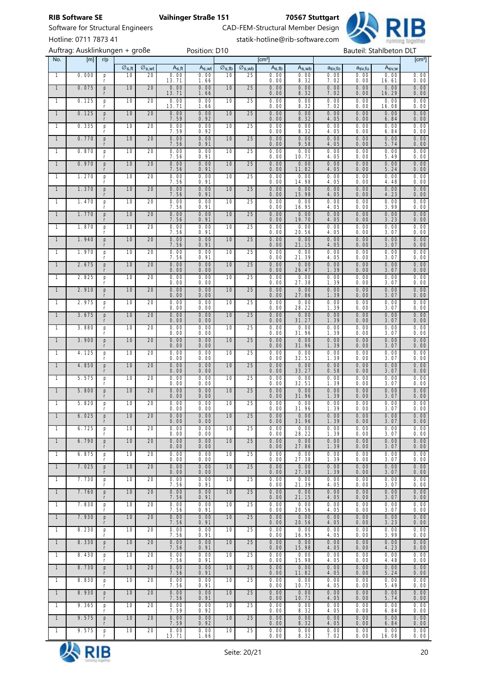∅s,ft ∅s,wt As,ft As,wt ∅s,fb ∅s,wb As,fb As,wb asv,fo asv,fu Asv,w

No. [m] r/p [cm²] [cm²]



Software for Structural Engineers **CAD-FEM-Structural Member Design** Hotline: 0711 7873 41 statik-hotline@rib-software.com

|                |       |               | ະ >.⊓ເ | $\sim$ 5, W     | 15,11         | $T\sim, Wl$  | $\approx$ 5,10 | $\sim$ 5, WU | rs, w         | 15.00         | usv, IU      | usv,iu       | 15V, W        |              |
|----------------|-------|---------------|--------|-----------------|---------------|--------------|----------------|--------------|---------------|---------------|--------------|--------------|---------------|--------------|
| $\mathbf{1}$   | 0.000 | p<br>r        | 10     | 20              | 0.00<br>13.71 | 0.00<br>1.66 | 10             | 25           | 0.00<br>0.00  | 0.00<br>8.32  | 0.00<br>7.02 | 0.00<br>0.00 | 0.00<br>16.61 | 0.00<br>0.00 |
| $\overline{1}$ | 0.075 | p<br>r        | 10     | 20              | 0.00<br>13.71 | 0.00<br>1.66 | 10             | 25           | 0.00<br>0.00  | 0.00<br>8.32  | 0.00<br>7.02 | 0.00<br>0.00 | 0.00<br>16.29 | 0.00<br>0.00 |
| 1              | 0.125 | p<br>r        | 10     | 20              | 0.00<br>13.71 | 0.00<br>1.66 | 10             | 25           | 0.00<br>0.00  | 0.00<br>8.32  | 0.00<br>7.02 | 0.00<br>0.00 | 0.00<br>16.08 | 0.00<br>0.00 |
| $\overline{1}$ | 0.125 | p<br>r        | 10     | 20              | 0.00<br>7.59  | 0.00<br>0.92 | 10             | 25           | 0.00<br>0. 00 | 0.00<br>8.32  | 0.00<br>4.05 | 0.00<br>0.00 | 0.00<br>6.84  | 0.00<br>0.00 |
| $\mathbf{1}$   | 0.335 | p<br>r        | 10     | 20              | 0.00<br>7.59  | 0.00<br>0.92 | 10             | 25           | 0.00<br>0.00  | 0.00<br>8.32  | 0.00<br>4.05 | 0.00<br>0.00 | 0.00<br>6.84  | 0.00<br>0.00 |
| $\overline{1}$ | 0.770 | p<br>r        | 10     | 20              | 0.00<br>7.56  | 0.00<br>0.91 | 10             | 25           | 0.00<br>0.00  | 0.00<br>9.58  | 0.00<br>4.05 | 0.00<br>0.00 | 0.00<br>5.74  | 0.00<br>0.00 |
| $\mathbf{1}$   | 0.870 | p<br>$\Gamma$ | 10     | 20              | 0.00<br>7.56  | 0.00<br>0.91 | 10             | 25           | 0.00<br>0.00  | 0.00<br>10.71 | 0.00<br>4.05 | 0.00<br>0.00 | 0.00<br>5.49  | 0.00<br>0.00 |
| $\overline{1}$ | 0.970 | p<br>r        | 10     | 20              | 0.00<br>7.56  | 0.00<br>0.91 | 10             | 25           | 0.00<br>0.00  | 0.00<br>11.82 | 0.00<br>4.05 | 0.00<br>0.00 | 0.00<br>5.24  | 0.00<br>0.00 |
| $\mathbf{1}$   | 1.270 | p<br>r        | 10     | 20              | 0.00<br>7.56  | 0.00<br>0.91 | 10             | 25           | 0.00<br>0.00  | 0.00<br>14.98 | 0.00<br>4.05 | 0.00<br>0.00 | 0.00<br>4.48  | 0.00<br>0.00 |
| $\overline{1}$ | 1.370 | p<br>r        | 10     | 20              | 0.00<br>7.56  | 0.00<br>0.91 | 10             | 25           | 0.00<br>0.00  | 0.00<br>15.98 | 0.00<br>4.05 | 0.00<br>0.00 | 0.00<br>4.23  | 0.00<br>0.00 |
| 1              | 1.470 | p<br>r        | 10     | 20              | 0.00<br>7.56  | 0.00<br>0.91 | 10             | 25           | 0.00<br>0.00  | 0.00<br>16.95 | 0.00<br>4.05 | 0.00<br>0.00 | 0.00<br>3.99  | 0.00<br>0.00 |
| $\overline{1}$ | 1.770 | p<br>r        | 10     | 20              | 0.00<br>7.56  | 0.00<br>0.91 | 10             | 25           | 0.00<br>0. 00 | 0.00<br>19.70 | 0.00<br>4.05 | 0.00<br>0.00 | 0.00<br>3. 23 | 0.00<br>0.00 |
| $\mathbf{1}$   | 1.870 | p<br>r        | 10     | 20              | 0.00<br>7.56  | 0.00<br>0.91 | 10             | 25           | 0.00<br>0.00  | 0.00<br>20.56 | 0.00<br>4.05 | 0.00<br>0.00 | 0.00<br>3.07  | 0.00<br>0.00 |
| $\overline{1}$ | 1.940 | p<br>r        | 10     | 20              | 0.00<br>7.56  | 0.00<br>0.91 | 10             | 25           | 0.00<br>0.00  | 0.00<br>21.15 | 0.00<br>4.05 | 0.00<br>0.00 | 0.00<br>3.07  | 0.00<br>0.00 |
| $\mathbf{1}$   | 1.970 | p<br>r        | 10     | 20              | 0.00<br>7.56  | 0.00<br>0.91 | 10             | 25           | 0.00<br>0.00  | 0.00<br>21.39 | 0.00<br>4.05 | 0.00<br>0.00 | 0.00<br>3.07  | 0.00<br>0.00 |
| $\overline{1}$ | 2.675 | p<br>r        | 10     | 20              | 0.00<br>0.00  | 0.00<br>0.00 | 10             | 25           | 0.00<br>0.00  | 0.00<br>26.47 | 0.00<br>1.39 | 0.00<br>0.00 | 0.00<br>3.07  | 0.00<br>0.00 |
| 1              | 2.825 | p<br>r        | 10     | 20              | 0.00<br>0.00  | 0.00<br>0.00 | 10             | 25           | 0.00<br>0.00  | 0.00<br>27.38 | 0.00<br>1.39 | 0.00<br>0.00 | 0.00<br>3.07  | 0.00<br>0.00 |
| $\overline{1}$ | 2.910 | p<br>r        | 10     | 20              | 0.00<br>0.00  | 0.00<br>0.00 | 10             | 25           | 0.00<br>0.00  | 0.00<br>27.86 | 0.00<br>1.39 | 0.00<br>0.00 | 0.00<br>3.07  | 0.00<br>0.00 |
| 1              | 2.975 | p<br>r        | 10     | 20              | 0.00<br>0.00  | 0.00<br>0.00 | 10             | 25           | 0.00<br>0.00  | 0.00<br>28.22 | 0.00<br>1.39 | 0.00<br>0.00 | 0.00<br>3.07  | 0.00<br>0.00 |
| $\overline{1}$ | 3.675 | p<br>r        | 10     | 20              | 0.00<br>0.00  | 0.00<br>0.00 | 10             | 25           | 0.00<br>0. 00 | 0.00<br>31.27 | 0.00<br>1.39 | 0.00<br>0.00 | 0.00<br>3.07  | 0.00<br>0.00 |
| $\mathbf{1}$   | 3.880 | p<br>r        | 10     | 20              | 0.00<br>0.00  | 0.00<br>0.00 | 10             | 25           | 0.00<br>0.00  | 0.00<br>31.96 | 0.00<br>1.39 | 0.00<br>0.00 | 0.00<br>3.07  | 0.00<br>0.00 |
| $\overline{1}$ | 3.900 | p<br>r        | 10     | 20              | 0.00<br>0.00  | 0.00<br>0.00 | 10             | 25           | 0.00<br>0.00  | 0.00<br>31.96 | 0.00<br>1.39 | 0.00<br>0.00 | 0.00<br>3.07  | 0.00<br>0.00 |
| -1             | 4.125 | p<br>r        | 10     | 20              | 0.00<br>0.00  | 0.00<br>0.00 | 10             | 25           | 0.00<br>0.00  | 0.00<br>32.51 | 0.00<br>1.39 | 0.00<br>0.00 | 0.00<br>3.07  | 0.00<br>0.00 |
| $\overline{1}$ | 4.850 | p<br>r        | 10     | 20              | 0.00<br>0.00  | 0.00<br>0.00 | 10             | 25           | 0.00<br>0.00  | 0.00<br>33.27 | 0.00<br>0.58 | 0.00<br>0.00 | 0.00<br>3.07  | 0.00<br>0.00 |
| $\mathbf{1}$   | 5.575 | p<br>r        | 10     | 20              | 0.00<br>0.00  | 0.00<br>0.00 | 10             | 25           | 0.00<br>0.00  | 0.00<br>32.51 | 0.00<br>1.39 | 0.00<br>0.00 | 0.00<br>3. 07 | 0.00<br>0.00 |
| $\overline{1}$ | 5.800 | p<br>r        | 10     | 20              | 0.00<br>0.00  | 0.00<br>0.00 | 10             | 25           | 0.00<br>0.00  | 0.00<br>31.96 | 0.00<br>1.39 | 0.00<br>0.00 | 0.00<br>3.07  | 0.00<br>0.00 |
| 1              | 5.820 | p<br>r        | 10     | 20              | 0.00<br>0.00  | 0.00<br>0.00 | 10             | 25           | 0.00<br>0.00  | 0.00<br>31.96 | 0.00<br>1.39 | 0.00<br>0.00 | 0.00<br>3.07  | 0.00<br>0.00 |
| $\overline{1}$ | 6.025 | p<br>r        | 10     | 20              | 0.00<br>0.00  | 0.00<br>0.00 | 10             | 25           | 0.00<br>0. 00 | 0.00<br>31.96 | 0.00<br>1.39 | 0.00<br>0.00 | 0.00<br>3.07  | 0.00<br>0.00 |
|                | 6.725 | r             | 10     | $\overline{20}$ | 0.00<br>0.00  | 0.00<br>0.00 | 10             | 25           | 0.00<br>0.00  | 0.00<br>28.22 | 0.00<br>1.39 | 0.00<br>0.00 | 0.00<br>3.07  | 0.00<br>0.00 |
| $\overline{1}$ | 6.790 | p<br>r        | 10     | 20              | 0.00<br>0.00  | 0.00<br>0.00 | 10             | 25           | 0.00<br>0.00  | 0.00<br>27.86 | 0.00<br>1.39 | 0.00<br>0.00 | 0.00<br>3.07  | 0.00<br>0.00 |
| $\overline{1}$ | 6.875 | p<br>r        | 10     | 20              | 0.00<br>0.00  | 0.00<br>0.00 | 10             | 25           | 0.00<br>0.00  | 0.00<br>27.38 | 0.00<br>1.39 | 0.00<br>0.00 | 0.00<br>3.07  | 0.00<br>0.00 |
| $\overline{1}$ | 7.025 | p<br>r        | 10     | 20              | 0.00<br>0.00  | 0.00<br>0.00 | 10             | 25           | 0.00<br>0.00  | 0.00<br>27.38 | 0.00<br>1.39 | 0.00<br>0.00 | 0.00<br>3.07  | 0.00<br>0.00 |
| $\overline{1}$ | 7.730 | p<br>r        | 10     | 20              | 0.00<br>7.56  | 0.00<br>0.91 | 10             | 25           | 0.00<br>0.00  | 0.00<br>21.39 | 0.00<br>4.05 | 0.00<br>0.00 | 0.00<br>3.07  | 0.00<br>0.00 |
| $\overline{1}$ | 7.760 | p<br>r        | 10     | 20              | 0.00<br>7.56  | 0.00<br>0.91 | 10             | 25           | 0.00<br>0.00  | 0.00<br>21.15 | 0.00<br>4.05 | 0.00<br>0.00 | 0.00<br>3.07  | 0.00<br>0.00 |
| $\overline{1}$ | 7.830 | p<br>r        | 10     | 20              | 0.00<br>7.56  | 0.00<br>0.91 | 10             | 25           | 0.00<br>0.00  | 0.00<br>20.56 | 0.00<br>4.05 | 0.00<br>0.00 | 0.00<br>3.07  | 0.00<br>0.00 |
| $\overline{1}$ | 7.930 | p<br>r        | 10     | 20              | 0.00<br>7.56  | 0.00<br>0.91 | 10             | 25           | 0.00<br>0.00  | 0.00<br>20.56 | 0.00<br>4.05 | 0.00<br>0.00 | 0.00<br>3.23  | 0.00<br>0.00 |
| $\overline{1}$ | 8.230 | p<br>r        | 10     | 20              | 0.00<br>7.56  | 0.00<br>0.91 | 10             | 25           | 0.00<br>0.00  | 0.00<br>16.95 | 0.00<br>4.05 | 0.00<br>0.00 | 0.00<br>3.99  | 0.00<br>0.00 |
| $\overline{1}$ | 8.330 | p<br>r        | 10     | 20              | 0.00<br>7.56  | 0.00<br>0.91 | 10             | 25           | 0.00<br>0.00  | 0.00<br>15.98 | 0.00<br>4.05 | 0.00<br>0.00 | 0.00<br>4.23  | 0.00<br>0.00 |
| $\overline{1}$ | 8.430 | p<br>r        | 10     | 20              | 0.00<br>7.56  | 0.00<br>0.91 | 10             | 25           | 0.00<br>0.00  | 0.00<br>15.98 | 0.00<br>4.05 | 0.00<br>0.00 | 0.00<br>4.48  | 0.00<br>0.00 |
| $\overline{1}$ | 8.730 | p<br>r        | 10     | 20              | 0.00<br>7.56  | 0.00<br>0.91 | 10             | 25           | 0.00<br>0.00  | 0.00<br>11.82 | 0.00<br>4.05 | 0.00<br>0.00 | 0.00<br>5.24  | 0.00<br>0.00 |
| $\overline{1}$ | 8.830 | p<br>r        | 10     | 20              | 0.00<br>7.56  | 0.00<br>0.91 | 10             | 25           | 0.00<br>0.00  | 0.00<br>10.71 | 0.00<br>4.05 | 0.00<br>0.00 | 0.00<br>5.49  | 0.00<br>0.00 |
| $\overline{1}$ | 8.930 | p<br>r        | 10     | 20              | 0.00<br>7.56  | 0.00<br>0.91 | 10             | 25           | 0.00<br>0.00  | 0.00<br>10.71 | 0.00<br>4.05 | 0.00<br>0.00 | 0.00<br>5.74  | 0.00<br>0.00 |
| $\overline{1}$ | 9.365 | p<br>r        | 10     | 20              | 0.00<br>7.59  | 0.00<br>0.92 | 10             | 25           | 0.00<br>0.00  | 0.00<br>8.32  | 0.00<br>4.05 | 0.00<br>0.00 | 0.00<br>6.84  | 0.00<br>0.00 |



 $\begin{array}{c|c} 9.575 & p \\ p \\ p \end{array}$ 

<sup>r</sup> <sup>10</sup> <sup>20</sup> 0.00 7.59

10 25 0.00

10 25 0.00 0.00

0.00 8.32

0.00 8.32

0.00 4.05

0.00 7.02

0.00 0.00

0.00 0.00

0.00 6.84

0.00 16.08

0.00 0.92

0.00 1.66

0.00 0.00

0.00 0.00